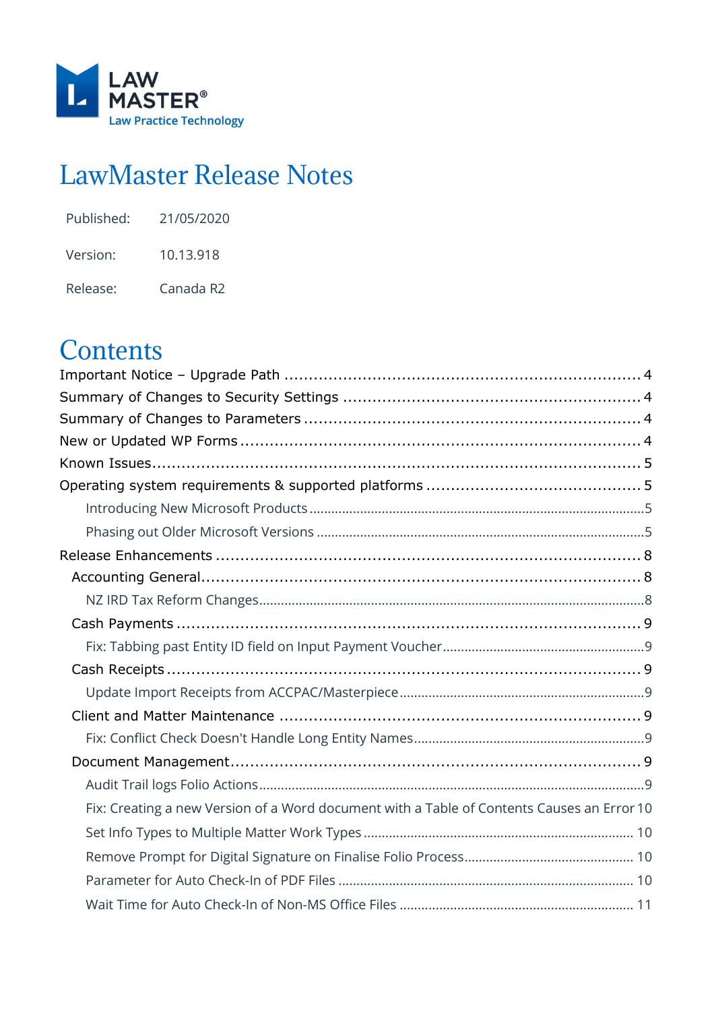

# LawMaster Release Notes

| Published: | 21/05/2020 |
|------------|------------|
| Version:   | 10.13.918  |

Release: Canada R2

# **Contents**

| Fix: Creating a new Version of a Word document with a Table of Contents Causes an Error 10 |  |
|--------------------------------------------------------------------------------------------|--|
|                                                                                            |  |
|                                                                                            |  |
|                                                                                            |  |
|                                                                                            |  |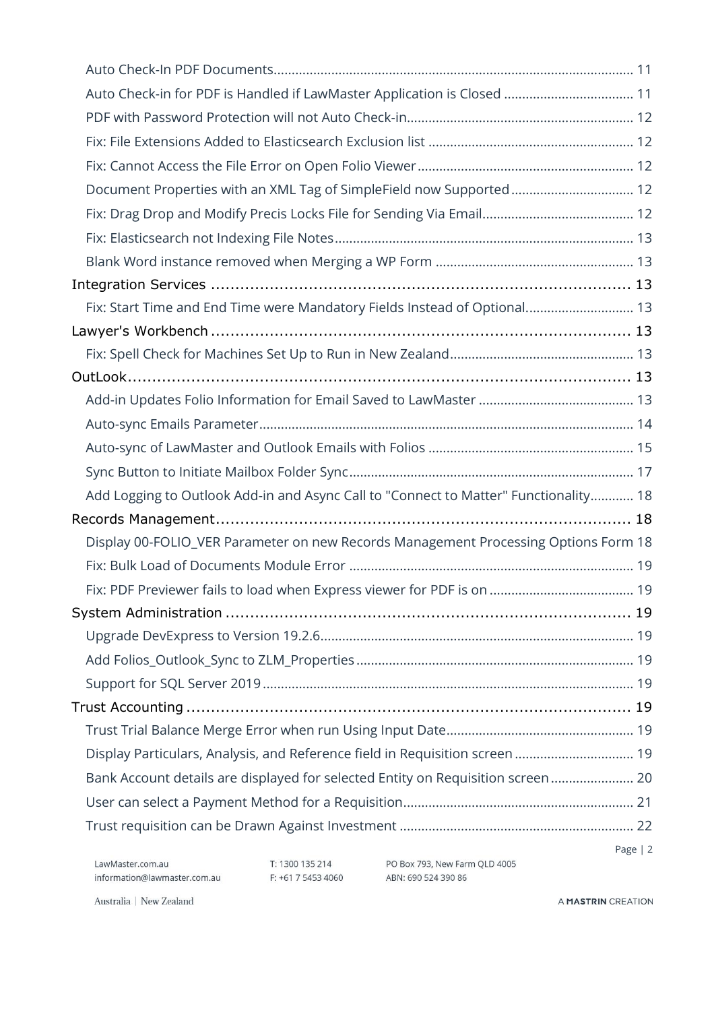| Auto Check-in for PDF is Handled if LawMaster Application is Closed  11              |  |
|--------------------------------------------------------------------------------------|--|
|                                                                                      |  |
|                                                                                      |  |
|                                                                                      |  |
| Document Properties with an XML Tag of SimpleField now Supported 12                  |  |
|                                                                                      |  |
|                                                                                      |  |
|                                                                                      |  |
|                                                                                      |  |
| Fix: Start Time and End Time were Mandatory Fields Instead of Optional 13            |  |
|                                                                                      |  |
|                                                                                      |  |
|                                                                                      |  |
|                                                                                      |  |
|                                                                                      |  |
|                                                                                      |  |
|                                                                                      |  |
| Add Logging to Outlook Add-in and Async Call to "Connect to Matter" Functionality 18 |  |
|                                                                                      |  |
| Display 00-FOLIO_VER Parameter on new Records Management Processing Options Form 18  |  |
|                                                                                      |  |
|                                                                                      |  |
|                                                                                      |  |
|                                                                                      |  |
|                                                                                      |  |
|                                                                                      |  |
|                                                                                      |  |
|                                                                                      |  |
| Display Particulars, Analysis, and Reference field in Requisition screen 19          |  |
| Bank Account details are displayed for selected Entity on Requisition screen 20      |  |
|                                                                                      |  |
|                                                                                      |  |
| Page $ 2$                                                                            |  |

T: 1300 135 214 PO Box 793, New Farm QLD 4005<br>F: +61 7 5453 4060 ABN: 690 524 390 86

Australia | New Zealand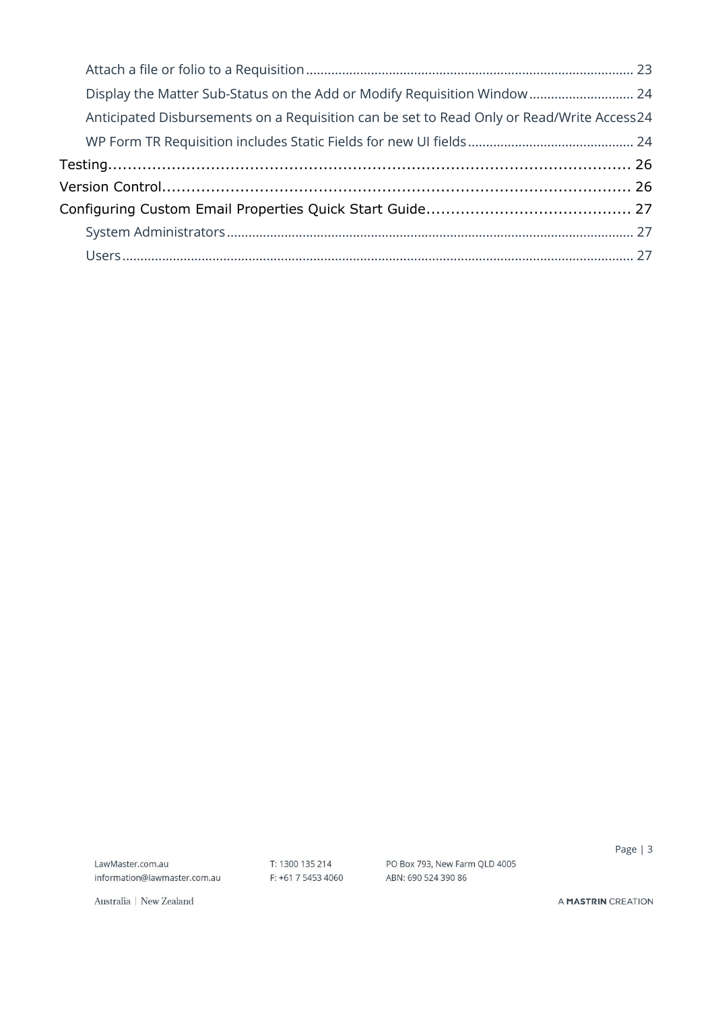| Display the Matter Sub-Status on the Add or Modify Requisition Window 24                  |  |
|-------------------------------------------------------------------------------------------|--|
| Anticipated Disbursements on a Requisition can be set to Read Only or Read/Write Access24 |  |
|                                                                                           |  |
|                                                                                           |  |
|                                                                                           |  |
|                                                                                           |  |
|                                                                                           |  |
|                                                                                           |  |

LawMaster.com.au information@lawmaster.com.au

T: 1300 135 214 PO Box 793, New Farm QLD 4005<br>F: +61 7 5453 4060 ABN: 690 524 390 86

Page | 3

Australia | New Zealand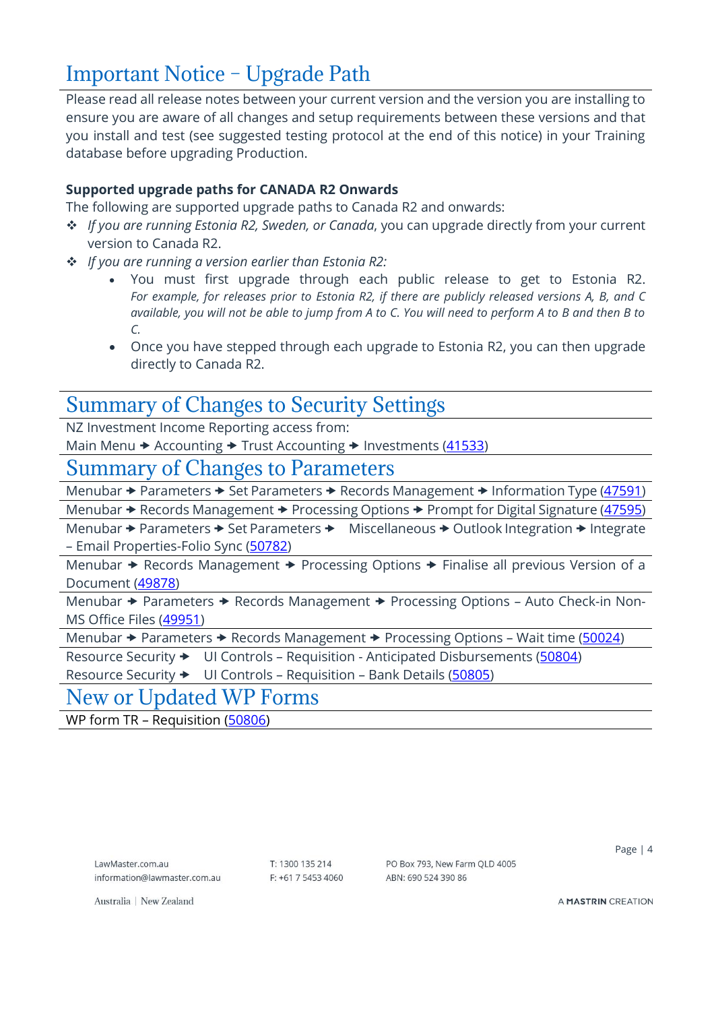## <span id="page-3-0"></span>Important Notice – Upgrade Path

Please read all release notes between your current version and the version you are installing to ensure you are aware of all changes and setup requirements between these versions and that you install and test (see suggested testing protocol at the end of this notice) in your Training database before upgrading Production.

### **Supported upgrade paths for CANADA R2 Onwards**

The following are supported upgrade paths to Canada R2 and onwards:

- ❖ *If you are running Estonia R2, Sweden, or Canada*, you can upgrade directly from your current version to Canada R2.
- ❖ *If you are running a version earlier than Estonia R2:*
	- You must first upgrade through each public release to get to Estonia R2. *For example, for releases prior to Estonia R2, if there are publicly released versions A, B, and C available, you will not be able to jump from A to C. You will need to perform A to B and then B to C.*
	- Once you have stepped through each upgrade to Estonia R2, you can then upgrade directly to Canada R2.

### <span id="page-3-1"></span>Summary of Changes to Security Settings

NZ Investment Income Reporting access from:

Main Menu  $\rightarrow$  Accounting  $\rightarrow$  Trust Accounting  $\rightarrow$  Investments [\(41533\)](#page-7-2)

### <span id="page-3-2"></span>Summary of Changes to Parameters

Menubar  $\rightarrow$  Parameters  $\rightarrow$  Set Parameters  $\rightarrow$  Records Management  $\rightarrow$  Information Type [\(47591\)](#page-9-1)

Menubar  $\rightarrow$  Records Management  $\rightarrow$  Processing Options  $\rightarrow$  Prompt for Digital Signature [\(47595\)](#page-9-2)

Menubar  $\rightarrow$  Parameters  $\rightarrow$  Set Parameters  $\rightarrow$  Miscellaneous  $\rightarrow$  Outlook Integration  $\rightarrow$  Integrate – Email Properties-Folio Sync [\(50782\)](#page-13-0)

Menubar  $\rightarrow$  Records Management  $\rightarrow$  Processing Options  $\rightarrow$  Finalise all previous Version of a Document [\(49878\)](#page-17-2)

Menubar  $\rightarrow$  Parameters  $\rightarrow$  Records Management  $\rightarrow$  Processing Options - Auto Check-in Non-MS Office Files [\(49951\)](#page-9-3)

Menubar  $\rightarrow$  Parameters  $\rightarrow$  Records Management  $\rightarrow$  Processing Options – Wait time [\(50024\)](#page-10-0)

Resource Security  $\rightarrow$  UI Controls - Requisition - Anticipated Disbursements [\(50804\)](#page-23-1)

Resource Security  $\rightarrow$  UI Controls – Requisition – Bank Details [\(50805\)](#page-19-0)

### <span id="page-3-3"></span>New or Updated WP Forms

WP form TR – Requisition [\(50806\)](#page-18-8)

LawMaster.com.au information@lawmaster.com.au T: 1300 135 214  $F: +61$  7 5453 4060 PO Box 793, New Farm OLD 4005 ABN: 690 524 390 86

Page | 4

Australia | New Zealand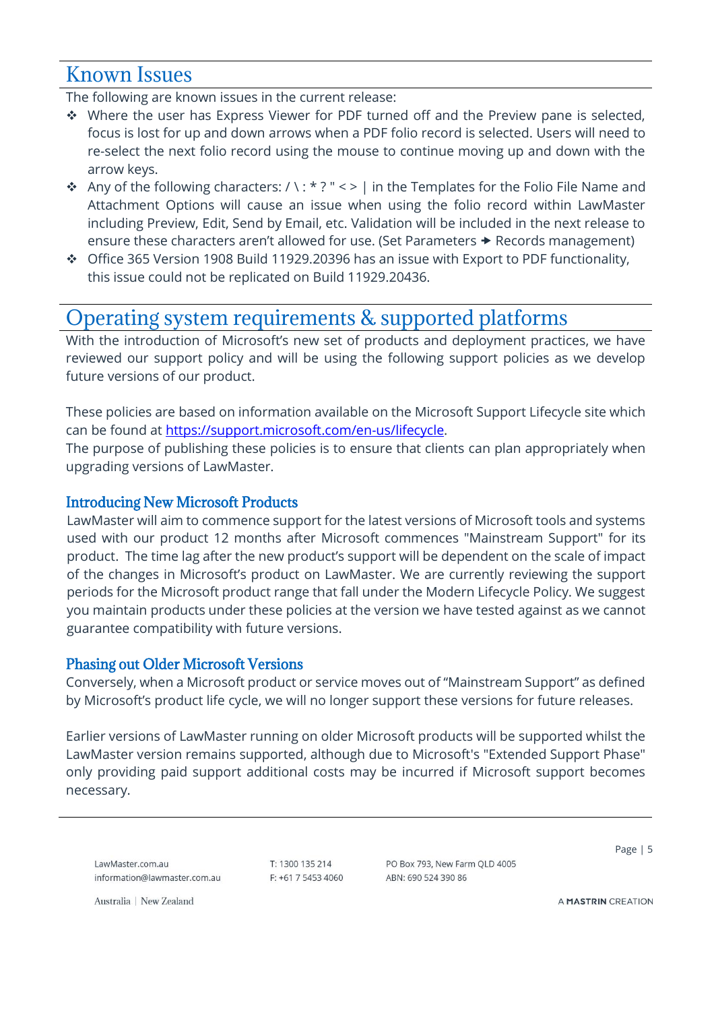### <span id="page-4-0"></span>Known Issues

The following are known issues in the current release:

- ❖ Where the user has Express Viewer for PDF turned off and the Preview pane is selected, focus is lost for up and down arrows when a PDF folio record is selected. Users will need to re-select the next folio record using the mouse to continue moving up and down with the arrow keys.
- ◆ Any of the following characters: / \: \* ? " < > | in the Templates for the Folio File Name and Attachment Options will cause an issue when using the folio record within LawMaster including Preview, Edit, Send by Email, etc. Validation will be included in the next release to ensure these characters aren't allowed for use. (Set Parameters  $\rightarrow$  Records management)
- ❖ Office 365 Version 1908 Build 11929.20396 has an issue with Export to PDF functionality, this issue could not be replicated on Build 11929.20436.

### <span id="page-4-1"></span>Operating system requirements & supported platforms

With the introduction of Microsoft's new set of products and deployment practices, we have reviewed our support policy and will be using the following support policies as we develop future versions of our product.

These policies are based on information available on the Microsoft Support Lifecycle site which can be found at [https://support.microsoft.com/en-us/lifecycle.](https://support.microsoft.com/en-us/lifecycle)

The purpose of publishing these policies is to ensure that clients can plan appropriately when upgrading versions of LawMaster.

### <span id="page-4-2"></span>Introducing New Microsoft Products

LawMaster will aim to commence support for the latest versions of Microsoft tools and systems used with our product 12 months after Microsoft commences "Mainstream Support" for its product. The time lag after the new product's support will be dependent on the scale of impact of the changes in Microsoft's product on LawMaster. We are currently reviewing the support periods for the Microsoft product range that fall under the Modern Lifecycle Policy. We suggest you maintain products under these policies at the version we have tested against as we cannot guarantee compatibility with future versions.

### <span id="page-4-3"></span>Phasing out Older Microsoft Versions

Conversely, when a Microsoft product or service moves out of "Mainstream Support" as defined by Microsoft's product life cycle, we will no longer support these versions for future releases.

Earlier versions of LawMaster running on older Microsoft products will be supported whilst the LawMaster version remains supported, although due to Microsoft's "Extended Support Phase" only providing paid support additional costs may be incurred if Microsoft support becomes necessary.

LawMaster.com.au information@lawmaster.com.au T: 1300 135 214  $F: +61$  7 5453 4060 PO Box 793, New Farm OLD 4005 ABN: 690 524 390 86

Page | 5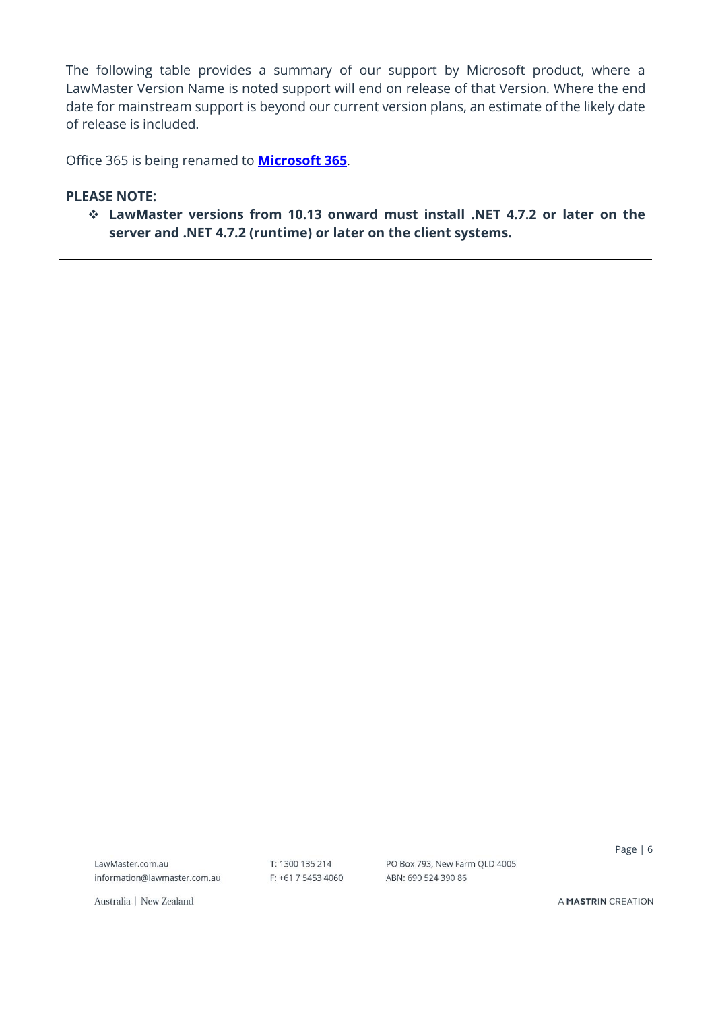The following table provides a summary of our support by Microsoft product, where a LawMaster Version Name is noted support will end on release of that Version. Where the end date for mainstream support is beyond our current version plans, an estimate of the likely date of release is included.

Office 365 is being renamed to **[Microsoft 365](https://www.microsoft.com/en-us/microsoft-365/blog/2020/03/30/new-microsoft-365-offerings-small-and-medium-sized-businesses/)**.

#### **PLEASE NOTE:**

❖ **LawMaster versions from 10.13 onward must install .NET 4.7.2 or later on the server and .NET 4.7.2 (runtime) or later on the client systems.**

LawMaster.com.au information@lawmaster.com.au T: 1300 135 214 F: +61 7 5453 4060 PO Box 793, New Farm QLD 4005 ABN: 690 524 390 86

Page | 6

Australia | New Zealand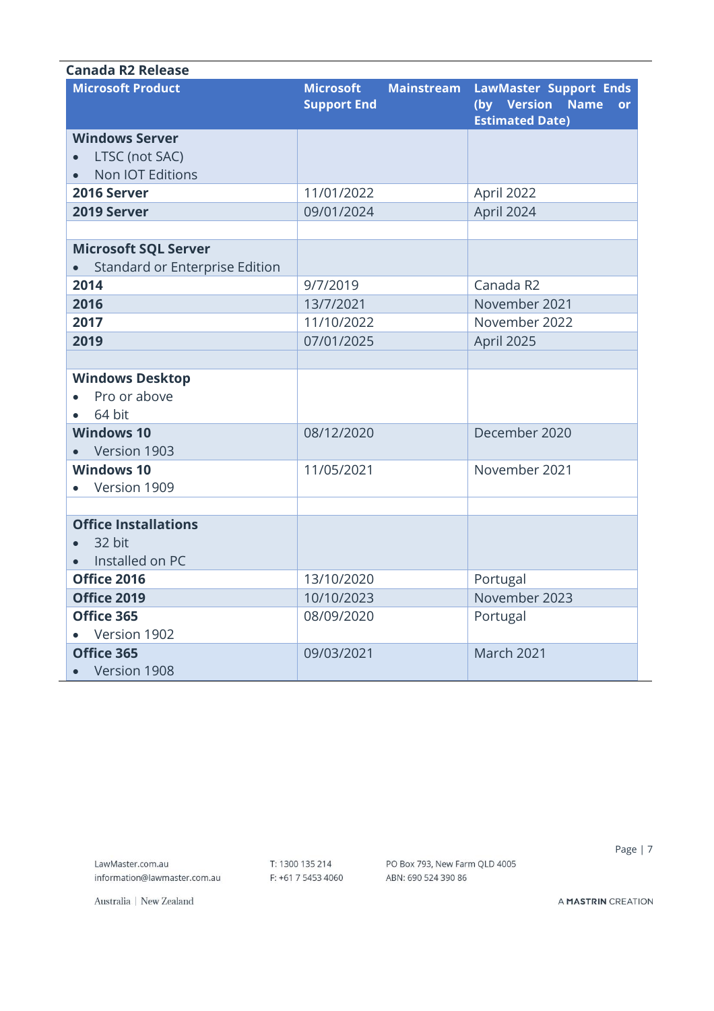| Canada R2 Release                                |                                        |                   |                                                                                          |
|--------------------------------------------------|----------------------------------------|-------------------|------------------------------------------------------------------------------------------|
| <b>Microsoft Product</b>                         | <b>Microsoft</b><br><b>Support End</b> | <b>Mainstream</b> | <b>LawMaster Support Ends</b><br>(by Version Name<br><b>or</b><br><b>Estimated Date)</b> |
| <b>Windows Server</b>                            |                                        |                   |                                                                                          |
| LTSC (not SAC)                                   |                                        |                   |                                                                                          |
| Non IOT Editions                                 |                                        |                   |                                                                                          |
| 2016 Server                                      | 11/01/2022                             |                   | April 2022                                                                               |
| 2019 Server                                      | 09/01/2024                             |                   | April 2024                                                                               |
|                                                  |                                        |                   |                                                                                          |
| <b>Microsoft SQL Server</b>                      |                                        |                   |                                                                                          |
| Standard or Enterprise Edition                   |                                        |                   |                                                                                          |
| 2014                                             | 9/7/2019                               |                   | Canada R2                                                                                |
| 2016                                             | 13/7/2021                              |                   | November 2021                                                                            |
| 2017                                             | 11/10/2022                             |                   | November 2022                                                                            |
| 2019                                             | 07/01/2025                             |                   | April 2025                                                                               |
|                                                  |                                        |                   |                                                                                          |
| <b>Windows Desktop</b><br>Pro or above<br>64 bit |                                        |                   |                                                                                          |
| <b>Windows 10</b>                                | 08/12/2020                             |                   | December 2020                                                                            |
| Version 1903                                     |                                        |                   |                                                                                          |
| <b>Windows 10</b>                                | 11/05/2021                             |                   | November 2021                                                                            |
| Version 1909                                     |                                        |                   |                                                                                          |
|                                                  |                                        |                   |                                                                                          |
| <b>Office Installations</b>                      |                                        |                   |                                                                                          |
| 32 bit                                           |                                        |                   |                                                                                          |
| Installed on PC                                  |                                        |                   |                                                                                          |
| Office 2016                                      | 13/10/2020                             |                   | Portugal                                                                                 |
| Office 2019                                      | 10/10/2023                             |                   | November 2023                                                                            |
| Office 365                                       | 08/09/2020                             |                   | Portugal                                                                                 |
| Version 1902                                     |                                        |                   |                                                                                          |
| Office 365                                       | 09/03/2021                             |                   | <b>March 2021</b>                                                                        |
| Version 1908                                     |                                        |                   |                                                                                          |

T: 1300 135 214 F: +61 7 5453 4060 PO Box 793, New Farm QLD 4005 ABN: 690 524 390 86

Page | 7

Australia | New Zealand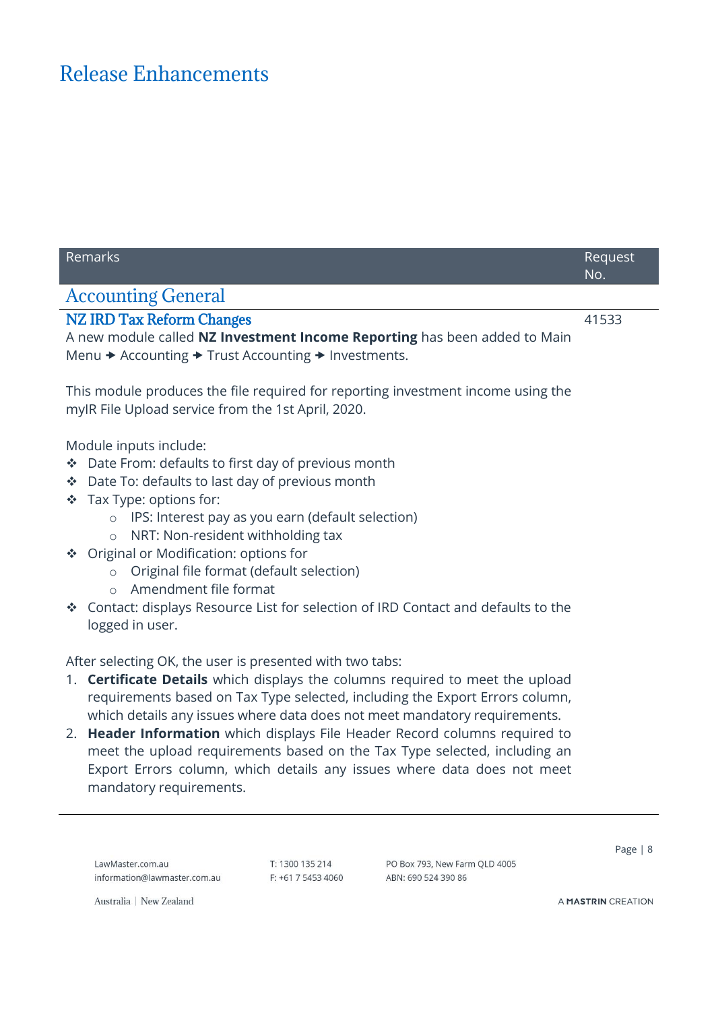# <span id="page-7-0"></span>Release Enhancements

<span id="page-7-2"></span><span id="page-7-1"></span>

| Remarks |                                                                                                                                                                                                                                                                                                                                                                                                                                         |                 |                                                                                                                                                                                                                                                                                                                                                                                                                                                                                   | Request<br>No. |
|---------|-----------------------------------------------------------------------------------------------------------------------------------------------------------------------------------------------------------------------------------------------------------------------------------------------------------------------------------------------------------------------------------------------------------------------------------------|-----------------|-----------------------------------------------------------------------------------------------------------------------------------------------------------------------------------------------------------------------------------------------------------------------------------------------------------------------------------------------------------------------------------------------------------------------------------------------------------------------------------|----------------|
|         | <b>Accounting General</b>                                                                                                                                                                                                                                                                                                                                                                                                               |                 |                                                                                                                                                                                                                                                                                                                                                                                                                                                                                   |                |
|         | <b>NZ IRD Tax Reform Changes</b><br>Menu $\rightarrow$ Accounting $\rightarrow$ Trust Accounting $\rightarrow$ Investments.                                                                                                                                                                                                                                                                                                             |                 | A new module called NZ Investment Income Reporting has been added to Main                                                                                                                                                                                                                                                                                                                                                                                                         | 41533          |
|         | myIR File Upload service from the 1st April, 2020.                                                                                                                                                                                                                                                                                                                                                                                      |                 | This module produces the file required for reporting investment income using the                                                                                                                                                                                                                                                                                                                                                                                                  |                |
|         | Module inputs include:<br>Date From: defaults to first day of previous month<br>Date To: defaults to last day of previous month<br>❖ Tax Type: options for:<br>IPS: Interest pay as you earn (default selection)<br>$\circ$<br>NRT: Non-resident withholding tax<br>$\circ$<br>❖ Original or Modification: options for<br>Original file format (default selection)<br>$\circ$<br>Amendment file format<br>$\bigcirc$<br>logged in user. |                 | Contact: displays Resource List for selection of IRD Contact and defaults to the                                                                                                                                                                                                                                                                                                                                                                                                  |                |
|         | After selecting OK, the user is presented with two tabs:<br>mandatory requirements.                                                                                                                                                                                                                                                                                                                                                     |                 | 1. Certificate Details which displays the columns required to meet the upload<br>requirements based on Tax Type selected, including the Export Errors column,<br>which details any issues where data does not meet mandatory requirements.<br>2. Header Information which displays File Header Record columns required to<br>meet the upload requirements based on the Tax Type selected, including an<br>Export Errors column, which details any issues where data does not meet |                |
|         | LawMaster.com.au                                                                                                                                                                                                                                                                                                                                                                                                                        | T: 1300 135 214 | PO Box 793, New Farm QLD 4005                                                                                                                                                                                                                                                                                                                                                                                                                                                     | Page $ 8$      |

F: +61 7 5453 4060 ABN: 690 524 390 86

Australia | New Zealand

information@lawmaster.com.au

J.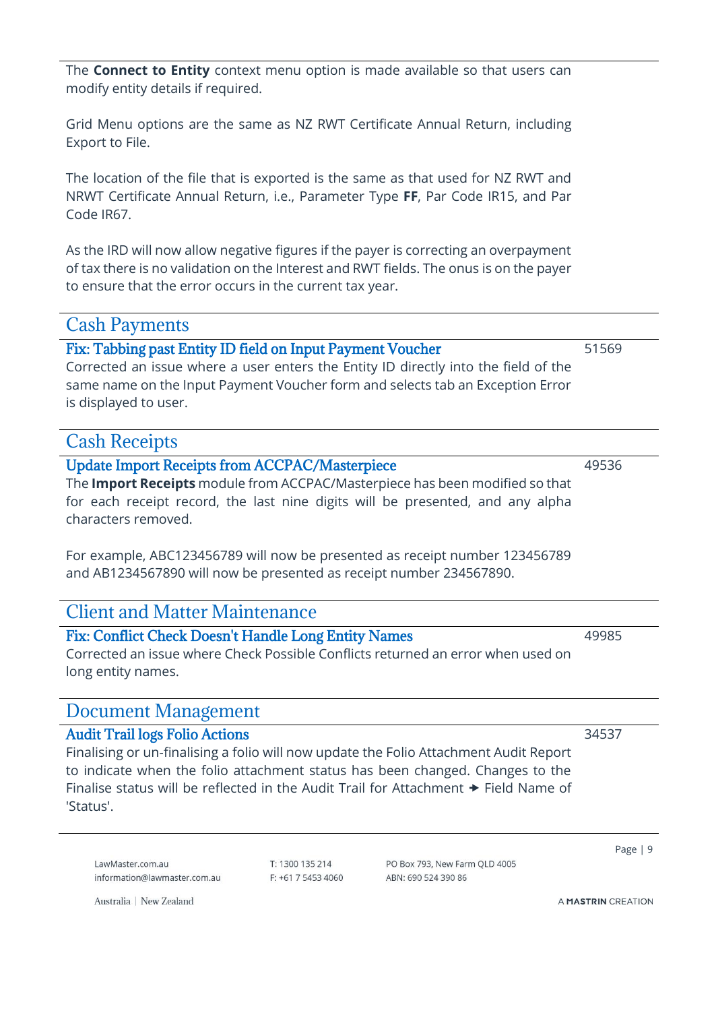The **Connect to Entity** context menu option is made available so that users can modify entity details if required.

Grid Menu options are the same as NZ RWT Certificate Annual Return, including Export to File.

The location of the file that is exported is the same as that used for NZ RWT and NRWT Certificate Annual Return, i.e., Parameter Type **FF**, Par Code IR15, and Par Code IR67.

As the IRD will now allow negative figures if the payer is correcting an overpayment of tax there is no validation on the Interest and RWT fields. The onus is on the payer to ensure that the error occurs in the current tax year.

<span id="page-8-0"></span>Cash Payments

### <span id="page-8-1"></span>Fix: Tabbing past Entity ID field on Input Payment Voucher

Corrected an issue where a user enters the Entity ID directly into the field of the same name on the Input Payment Voucher form and selects tab an Exception Error is displayed to user.

### <span id="page-8-2"></span>Cash Receipts

<span id="page-8-3"></span>Update Import Receipts from ACCPAC/Masterpiece

The **Import Receipts** module from ACCPAC/Masterpiece has been modified so that for each receipt record, the last nine digits will be presented, and any alpha characters removed.

For example, ABC123456789 will now be presented as receipt number 123456789 and AB1234567890 will now be presented as receipt number 234567890.

### <span id="page-8-4"></span>Client and Matter Maintenance

### <span id="page-8-5"></span>Fix: Conflict Check Doesn't Handle Long Entity Names

Corrected an issue where Check Possible Conflicts returned an error when used on long entity names.

### <span id="page-8-6"></span>Document Management

### <span id="page-8-7"></span>Audit Trail logs Folio Actions

Finalising or un-finalising a folio will now update the Folio Attachment Audit Report to indicate when the folio attachment status has been changed. Changes to the Finalise status will be reflected in the Audit Trail for Attachment  $\rightarrow$  Field Name of 'Status'.

LawMaster.com.au information@lawmaster.com.au

Australia | New Zealand

T: 1300 135 214  $F: +61$  7 5453 4060 PO Box 793 New Farm OLD 4005 ARN: 690 524 390 86

Page | 9

A MASTRIN CREATION

49985

49536

51569

34537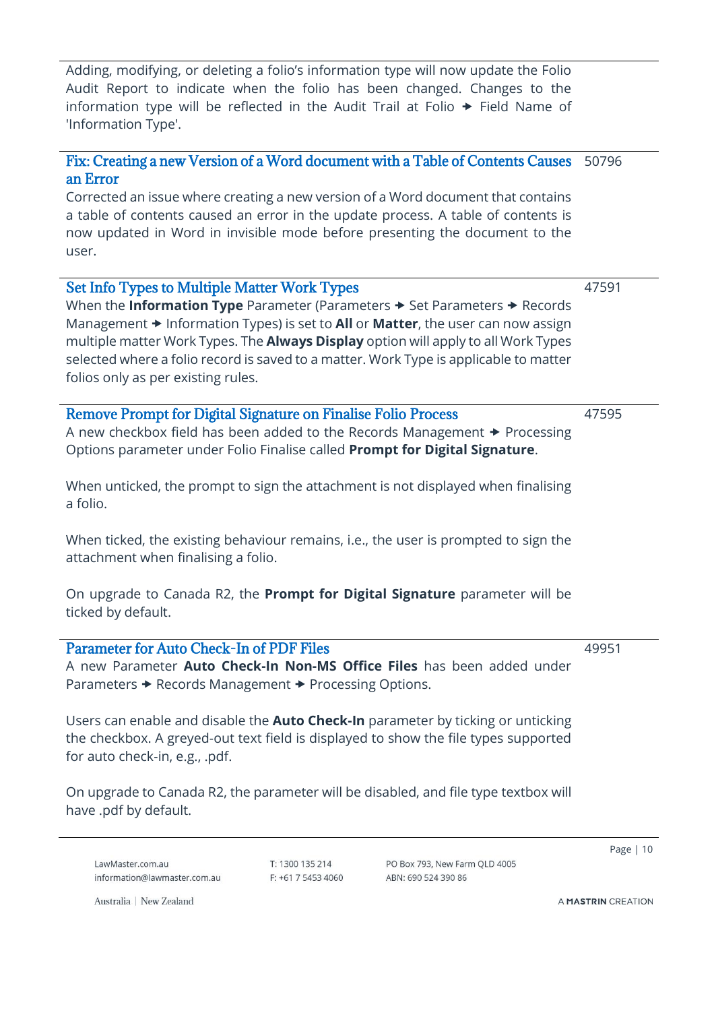Adding, modifying, or deleting a folio's information type will now update the Folio Audit Report to indicate when the folio has been changed. Changes to the information type will be reflected in the Audit Trail at Folio  $\rightarrow$  Field Name of 'Information Type'.

#### <span id="page-9-0"></span>Fix: Creating a new Version of a Word document with a Table of Contents Causes an Error 50796

Corrected an issue where creating a new version of a Word document that contains a table of contents caused an error in the update process. A table of contents is now updated in Word in invisible mode before presenting the document to the user.

<span id="page-9-1"></span>

| <b>Set Info Types to Multiple Matter Work Types</b><br>When the <b>Information Type</b> Parameter (Parameters $\rightarrow$ Set Parameters $\rightarrow$ Records<br>Management $\rightarrow$ Information Types) is set to All or Matter, the user can now assign<br>multiple matter Work Types. The <b>Always Display</b> option will apply to all Work Types<br>selected where a folio record is saved to a matter. Work Type is applicable to matter<br>folios only as per existing rules. | 47591 |
|----------------------------------------------------------------------------------------------------------------------------------------------------------------------------------------------------------------------------------------------------------------------------------------------------------------------------------------------------------------------------------------------------------------------------------------------------------------------------------------------|-------|
| <b>Remove Prompt for Digital Signature on Finalise Folio Process</b><br>A new checkbox field has been added to the Records Management $\rightarrow$ Processing<br>Options parameter under Folio Finalise called Prompt for Digital Signature.<br>When unticked, the prompt to sign the attachment is not displayed when finalising<br>a folio.                                                                                                                                               | 47595 |

<span id="page-9-2"></span>When ticked, the existing behaviour remains, i.e., the user is prompted to sign the attachment when finalising a folio.

On upgrade to Canada R2, the **Prompt for Digital Signature** parameter will be ticked by default.

<span id="page-9-3"></span>Parameter for Auto Check-In of PDF Files A new Parameter **Auto Check-In Non-MS Office Files** has been added under Parameters  $\rightarrow$  Records Management  $\rightarrow$  Processing Options.

Users can enable and disable the **Auto Check-In** parameter by ticking or unticking the checkbox. A greyed-out text field is displayed to show the file types supported for auto check-in, e.g., .pdf.

On upgrade to Canada R2, the parameter will be disabled, and file type textbox will have .pdf by default.

LawMaster.com.au information@lawmaster.com.au T: 1300 135 214  $F: +61$  7 5453 4060 PO Box 793 New Farm OLD 4005 ARN: 690 524 390 86

Page | 10

Australia | New Zealand

A MASTRIN CREATION

49951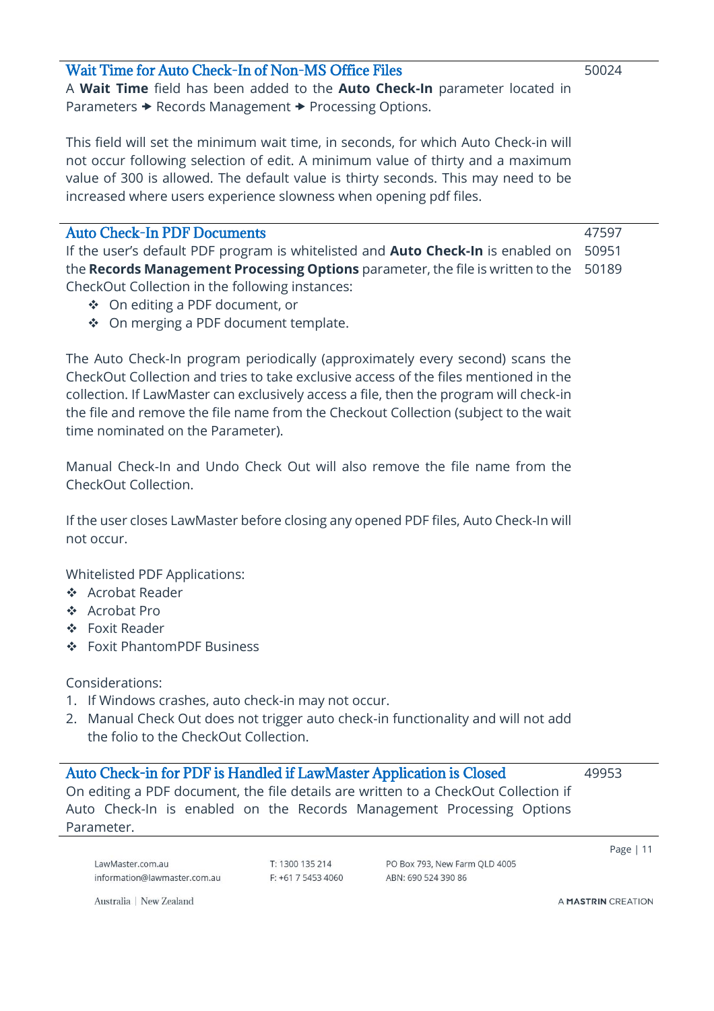#### <span id="page-10-0"></span>Wait Time for Auto Check-In of Non-MS Office Files

A **Wait Time** field has been added to the **Auto Check-In** parameter located in Parameters  $\rightarrow$  Records Management  $\rightarrow$  Processing Options.

This field will set the minimum wait time, in seconds, for which Auto Check-in will not occur following selection of edit. A minimum value of thirty and a maximum value of 300 is allowed. The default value is thirty seconds. This may need to be increased where users experience slowness when opening pdf files.

<span id="page-10-1"></span>

| <b>Auto Check-In PDF Documents</b>                                                            | 47597 |
|-----------------------------------------------------------------------------------------------|-------|
| If the user's default PDF program is whitelisted and <b>Auto Check-In</b> is enabled on 50951 |       |
| the <b>Records Management Processing Options</b> parameter, the file is written to the 50189  |       |
| CheckOut Collection in the following instances:                                               |       |

- ❖ On editing a PDF document, or
- ❖ On merging a PDF document template.

The Auto Check-In program periodically (approximately every second) scans the CheckOut Collection and tries to take exclusive access of the files mentioned in the collection. If LawMaster can exclusively access a file, then the program will check-in the file and remove the file name from the Checkout Collection (subject to the wait time nominated on the Parameter).

Manual Check-In and Undo Check Out will also remove the file name from the CheckOut Collection.

If the user closes LawMaster before closing any opened PDF files, Auto Check-In will not occur.

Whitelisted PDF Applications:

- ❖ Acrobat Reader
- ❖ Acrobat Pro
- ❖ Foxit Reader
- ❖ Foxit PhantomPDF Business

Considerations:

- 1. If Windows crashes, auto check-in may not occur.
- 2. Manual Check Out does not trigger auto check-in functionality and will not add the folio to the CheckOut Collection.

<span id="page-10-2"></span>Auto Check-in for PDF is Handled if LawMaster Application is Closed On editing a PDF document, the file details are written to a CheckOut Collection if Auto Check-In is enabled on the Records Management Processing Options Parameter. 49953

LawMaster.com.au information@lawmaster.com.au T: 1300 135 214  $F: +61$  7 5453 4060 PO Box 793, New Farm OLD 4005 ABN: 690 524 390 86

Page | 11

Australia | New Zealand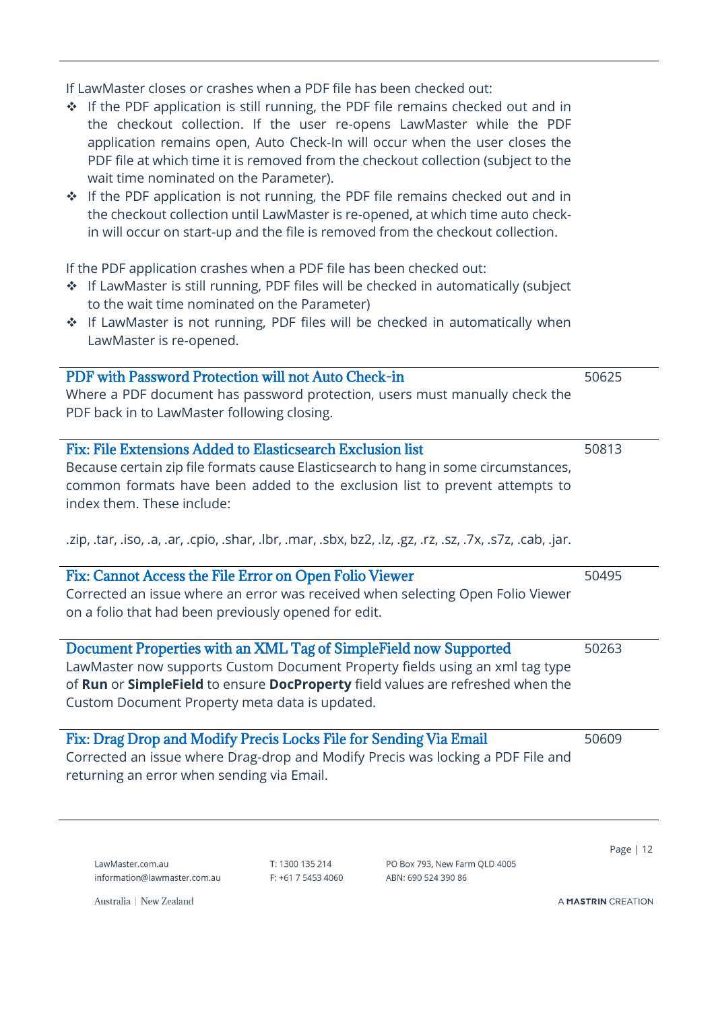If LawMaster closes or crashes when a PDF file has been checked out:

<span id="page-11-1"></span><span id="page-11-0"></span>

| ❖ If the PDF application is still running, the PDF file remains checked out and in<br>the checkout collection. If the user re-opens LawMaster while the PDF<br>application remains open, Auto Check-In will occur when the user closes the<br>PDF file at which time it is removed from the checkout collection (subject to the<br>wait time nominated on the Parameter).<br>❖ If the PDF application is not running, the PDF file remains checked out and in<br>the checkout collection until LawMaster is re-opened, at which time auto check-<br>in will occur on start-up and the file is removed from the checkout collection. |       |
|-------------------------------------------------------------------------------------------------------------------------------------------------------------------------------------------------------------------------------------------------------------------------------------------------------------------------------------------------------------------------------------------------------------------------------------------------------------------------------------------------------------------------------------------------------------------------------------------------------------------------------------|-------|
| If the PDF application crashes when a PDF file has been checked out:<br>* If LawMaster is still running, PDF files will be checked in automatically (subject<br>to the wait time nominated on the Parameter)<br>* If LawMaster is not running, PDF files will be checked in automatically when<br>LawMaster is re-opened.                                                                                                                                                                                                                                                                                                           |       |
| PDF with Password Protection will not Auto Check-in<br>Where a PDF document has password protection, users must manually check the<br>PDF back in to LawMaster following closing.                                                                                                                                                                                                                                                                                                                                                                                                                                                   | 50625 |
| Fix: File Extensions Added to Elasticsearch Exclusion list<br>Because certain zip file formats cause Elasticsearch to hang in some circumstances,<br>common formats have been added to the exclusion list to prevent attempts to<br>index them. These include:<br>.zip, .tar, .iso, .a, .ar, .cpio, .shar, .lbr, .mar, .sbx, bz2, .lz, .gz, .rz, .sz, .7x, .s7z, .cab, .jar.                                                                                                                                                                                                                                                        | 50813 |
| Fix: Cannot Access the File Error on Open Folio Viewer<br>Corrected an issue where an error was received when selecting Open Folio Viewer<br>on a folio that had been previously opened for edit.                                                                                                                                                                                                                                                                                                                                                                                                                                   | 50495 |
| Document Properties with an XML Tag of SimpleField now Supported<br>LawMaster now supports Custom Document Property fields using an xml tag type<br>of Run or SimpleField to ensure DocProperty field values are refreshed when the<br>Custom Document Property meta data is updated.                                                                                                                                                                                                                                                                                                                                               | 50263 |
| Fix: Drag Drop and Modify Precis Locks File for Sending Via Email<br>Corrected an issue where Drag-drop and Modify Precis was locking a PDF File and<br>returning an error when sending via Email.                                                                                                                                                                                                                                                                                                                                                                                                                                  | 50609 |

<span id="page-11-4"></span><span id="page-11-3"></span><span id="page-11-2"></span>LawMaster.com.au information@lawmaster.com.au T: 1300 135 214 F: +61 7 5453 4060 PO Box 793, New Farm QLD 4005 ABN: 690 524 390 86

Page | 12

Australia | New Zealand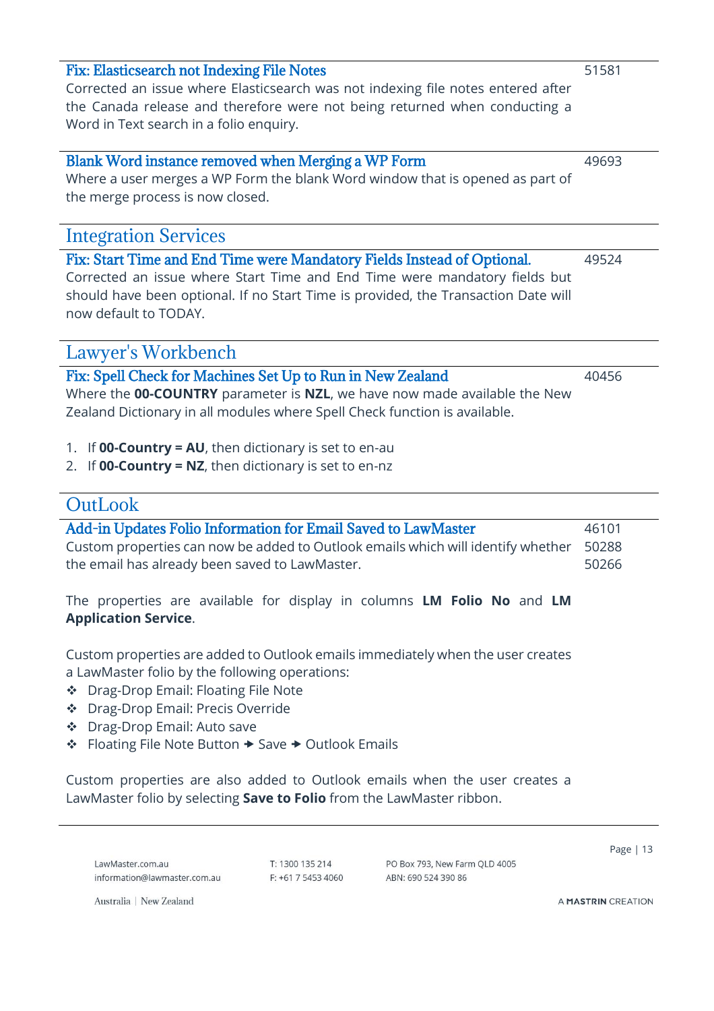<span id="page-12-0"></span>Corrected an issue where Elasticsearch was not indexing file notes entered after the Canada release and therefore were not being returned when conducting a Word in Text search in a folio enquiry.

### <span id="page-12-1"></span>Blank Word instance removed when Merging a WP Form

Where a user merges a WP Form the blank Word window that is opened as part of the merge process is now closed.

### <span id="page-12-2"></span>Integration Services

<span id="page-12-3"></span>Fix: Start Time and End Time were Mandatory Fields Instead of Optional. Corrected an issue where Start Time and End Time were mandatory fields but should have been optional. If no Start Time is provided, the Transaction Date will now default to TODAY.

### <span id="page-12-4"></span>Lawyer's Workbench

<span id="page-12-5"></span>

| Fix: Spell Check for Machines Set Up to Run in New Zealand                 | 40456 |
|----------------------------------------------------------------------------|-------|
| Where the 00-COUNTRY parameter is NZL, we have now made available the New  |       |
| Zealand Dictionary in all modules where Spell Check function is available. |       |

- 1. If **00-Country = AU**, then dictionary is set to en-au
- 2. If **00-Country = NZ**, then dictionary is set to en-nz

### <span id="page-12-6"></span>**OutLook**

<span id="page-12-7"></span>

| Add-in Updates Folio Information for Email Saved to LawMaster                          | 46101 |
|----------------------------------------------------------------------------------------|-------|
| Custom properties can now be added to Outlook emails which will identify whether 50288 |       |
| the email has already been saved to LawMaster.                                         | 50266 |
|                                                                                        |       |

The properties are available for display in columns **LM Folio No** and **LM Application Service**.

Custom properties are added to Outlook emails immediately when the user creates a LawMaster folio by the following operations:

- ❖ Drag-Drop Email: Floating File Note
- ❖ Drag-Drop Email: Precis Override
- ❖ Drag-Drop Email: Auto save
- ❖ Floating File Note Button Save Outlook Emails

Custom properties are also added to Outlook emails when the user creates a LawMaster folio by selecting **Save to Folio** from the LawMaster ribbon.

LawMaster.com.au information@lawmaster.com.au T: 1300 135 214  $F: +61$  7 5453 4060 PO Box 793, New Farm OLD 4005 ABN: 690 524 390 86

Page | 13

Australia | New Zealand

A MASTRIN CREATION

49693

49524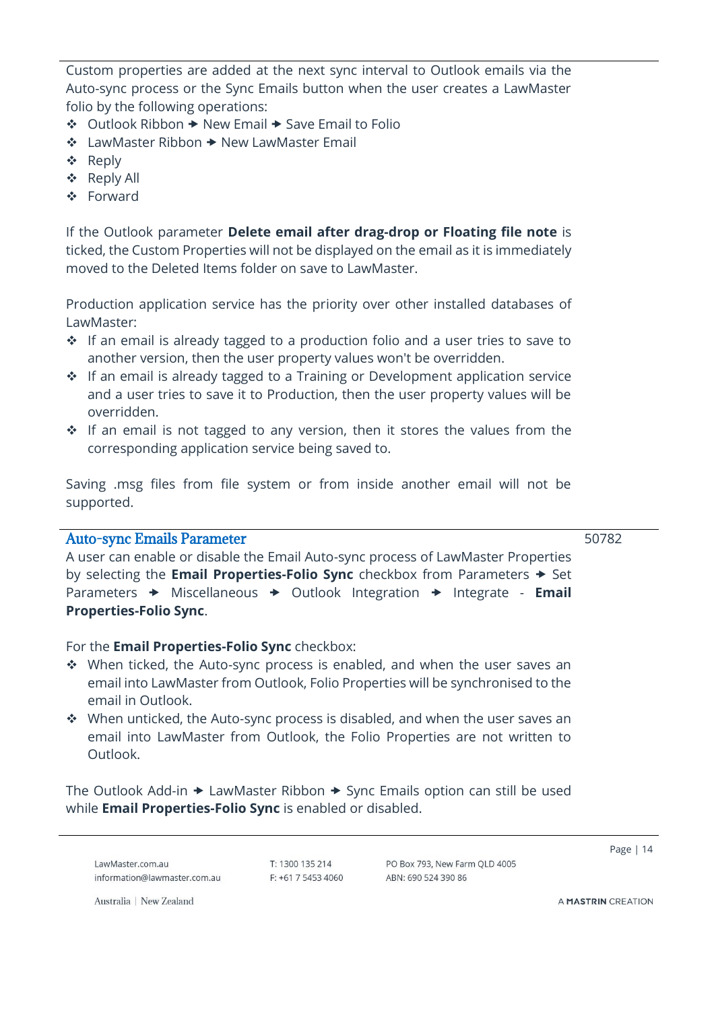Custom properties are added at the next sync interval to Outlook emails via the Auto-sync process or the Sync Emails button when the user creates a LawMaster folio by the following operations:

- ❖ Outlook Ribbon New Email Save Email to Folio
- ❖ LawMaster Ribbon New LawMaster Email
- ❖ Reply
- ❖ Reply All
- ❖ Forward

If the Outlook parameter **Delete email after drag-drop or Floating file note** is ticked, the Custom Properties will not be displayed on the email as it is immediately moved to the Deleted Items folder on save to LawMaster.

Production application service has the priority over other installed databases of LawMaster:

- ❖ If an email is already tagged to a production folio and a user tries to save to another version, then the user property values won't be overridden.
- ❖ If an email is already tagged to a Training or Development application service and a user tries to save it to Production, then the user property values will be overridden.
- ❖ If an email is not tagged to any version, then it stores the values from the corresponding application service being saved to.

Saving .msg files from file system or from inside another email will not be supported.

### <span id="page-13-0"></span>Auto-sync Emails Parameter

50782

A user can enable or disable the Email Auto-sync process of LawMaster Properties by selecting the **Email Properties-Folio Sync** checkbox from Parameters  $\rightarrow$  Set Parameters  $\rightarrow$  Miscellaneous  $\rightarrow$  Outlook Integration  $\rightarrow$  Integrate - **Email Properties-Folio Sync**.

#### For the **Email Properties-Folio Sync** checkbox:

- ❖ When ticked, the Auto-sync process is enabled, and when the user saves an email into LawMaster from Outlook, Folio Properties will be synchronised to the email in Outlook.
- ❖ When unticked, the Auto-sync process is disabled, and when the user saves an email into LawMaster from Outlook, the Folio Properties are not written to Outlook.

The Outlook Add-in  $\rightarrow$  LawMaster Ribbon  $\rightarrow$  Sync Emails option can still be used while **Email Properties-Folio Sync** is enabled or disabled.

LawMaster.com.au information@lawmaster.com.au T: 1300 135 214  $F: +61754534060$  PO Box 793, New Farm OLD 4005 ARN: 690 524 390 86

Page | 14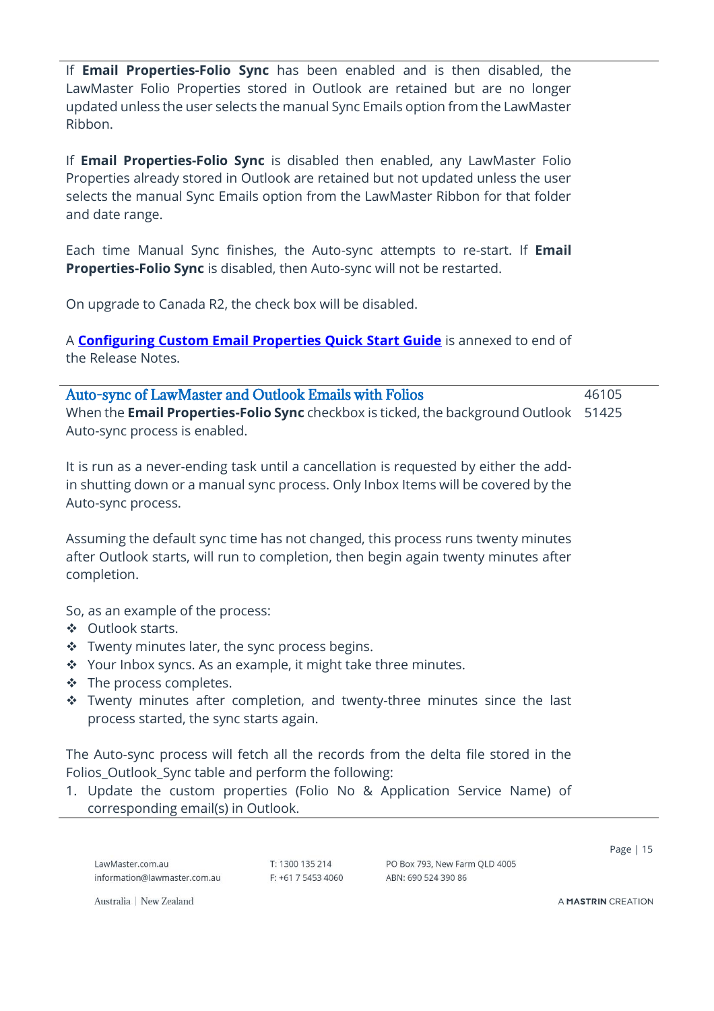If **Email Properties-Folio Sync** has been enabled and is then disabled, the LawMaster Folio Properties stored in Outlook are retained but are no longer updated unless the user selects the manual Sync Emails option from the LawMaster Ribbon.

If **Email Properties-Folio Sync** is disabled then enabled, any LawMaster Folio Properties already stored in Outlook are retained but not updated unless the user selects the manual Sync Emails option from the LawMaster Ribbon for that folder and date range.

Each time Manual Sync finishes, the Auto-sync attempts to re-start. If **Email Properties-Folio Sync** is disabled, then Auto-sync will not be restarted.

On upgrade to Canada R2, the check box will be disabled.

A **[Configuring Custom Email Properties Quick Start Guide](#page-26-0)** is annexed to end of the Release Notes.

<span id="page-14-0"></span>

| <b>Auto-sync of LawMaster and Outlook Emails with Folios</b>                                 | 46105 |
|----------------------------------------------------------------------------------------------|-------|
| When the <b>Email Properties-Folio Sync</b> checkbox is ticked, the background Outlook 51425 |       |
| Auto-sync process is enabled.                                                                |       |

It is run as a never-ending task until a cancellation is requested by either the addin shutting down or a manual sync process. Only Inbox Items will be covered by the Auto-sync process.

Assuming the default sync time has not changed, this process runs twenty minutes after Outlook starts, will run to completion, then begin again twenty minutes after completion.

So, as an example of the process:

- ❖ Outlook starts.
- ❖ Twenty minutes later, the sync process begins.
- ❖ Your Inbox syncs. As an example, it might take three minutes.
- ❖ The process completes.
- ❖ Twenty minutes after completion, and twenty-three minutes since the last process started, the sync starts again.

The Auto-sync process will fetch all the records from the delta file stored in the Folios\_Outlook\_Sync table and perform the following:

1. Update the custom properties (Folio No & Application Service Name) of corresponding email(s) in Outlook.

LawMaster.com.au information@lawmaster.com.au T: 1300 135 214  $F: +61754534060$  PO Box 793, New Farm OLD 4005 ABN: 690 524 390 86

Page | 15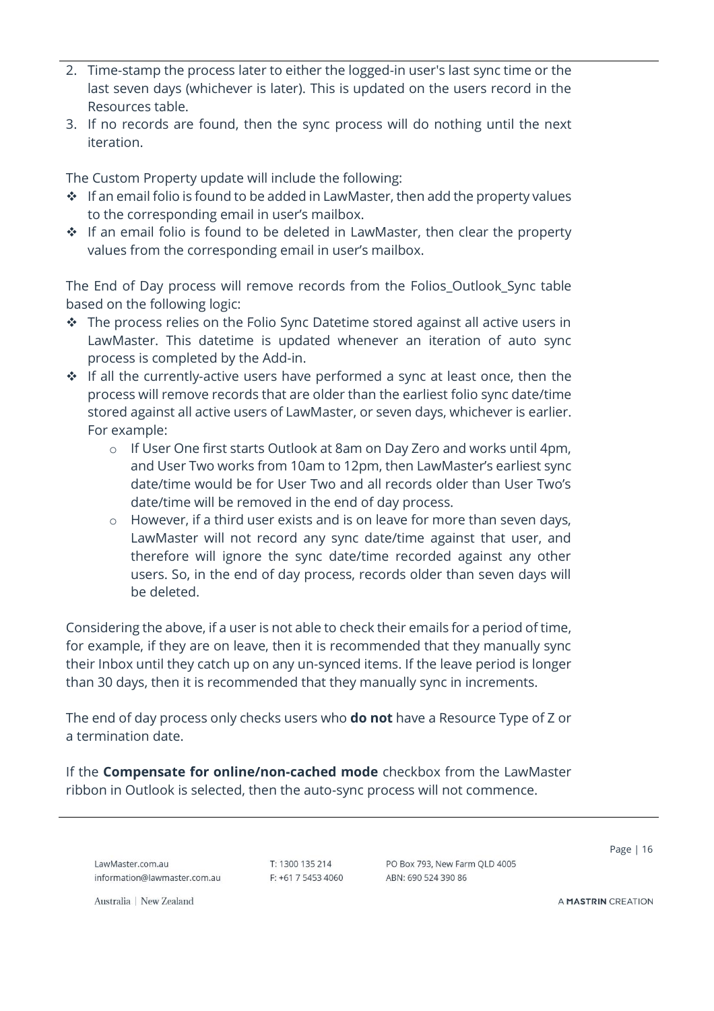- 2. Time-stamp the process later to either the logged-in user's last sync time or the last seven days (whichever is later). This is updated on the users record in the Resources table.
- 3. If no records are found, then the sync process will do nothing until the next iteration.

The Custom Property update will include the following:

- ❖ If an email folio is found to be added in LawMaster, then add the property values to the corresponding email in user's mailbox.
- ❖ If an email folio is found to be deleted in LawMaster, then clear the property values from the corresponding email in user's mailbox.

The End of Day process will remove records from the Folios\_Outlook\_Sync table based on the following logic:

- ❖ The process relies on the Folio Sync Datetime stored against all active users in LawMaster. This datetime is updated whenever an iteration of auto sync process is completed by the Add-in.
- ❖ If all the currently-active users have performed a sync at least once, then the process will remove records that are older than the earliest folio sync date/time stored against all active users of LawMaster, or seven days, whichever is earlier. For example:
	- o If User One first starts Outlook at 8am on Day Zero and works until 4pm, and User Two works from 10am to 12pm, then LawMaster's earliest sync date/time would be for User Two and all records older than User Two's date/time will be removed in the end of day process.
	- o However, if a third user exists and is on leave for more than seven days, LawMaster will not record any sync date/time against that user, and therefore will ignore the sync date/time recorded against any other users. So, in the end of day process, records older than seven days will be deleted.

Considering the above, if a user is not able to check their emails for a period of time, for example, if they are on leave, then it is recommended that they manually sync their Inbox until they catch up on any un-synced items. If the leave period is longer than 30 days, then it is recommended that they manually sync in increments.

The end of day process only checks users who **do not** have a Resource Type of Z or a termination date.

If the **Compensate for online/non-cached mode** checkbox from the LawMaster ribbon in Outlook is selected, then the auto-sync process will not commence.

LawMaster.com.au information@lawmaster.com.au T: 1300 135 214 F: +61 7 5453 4060 PO Box 793, New Farm OLD 4005 ABN: 690 524 390 86

Page | 16

Australia | New Zealand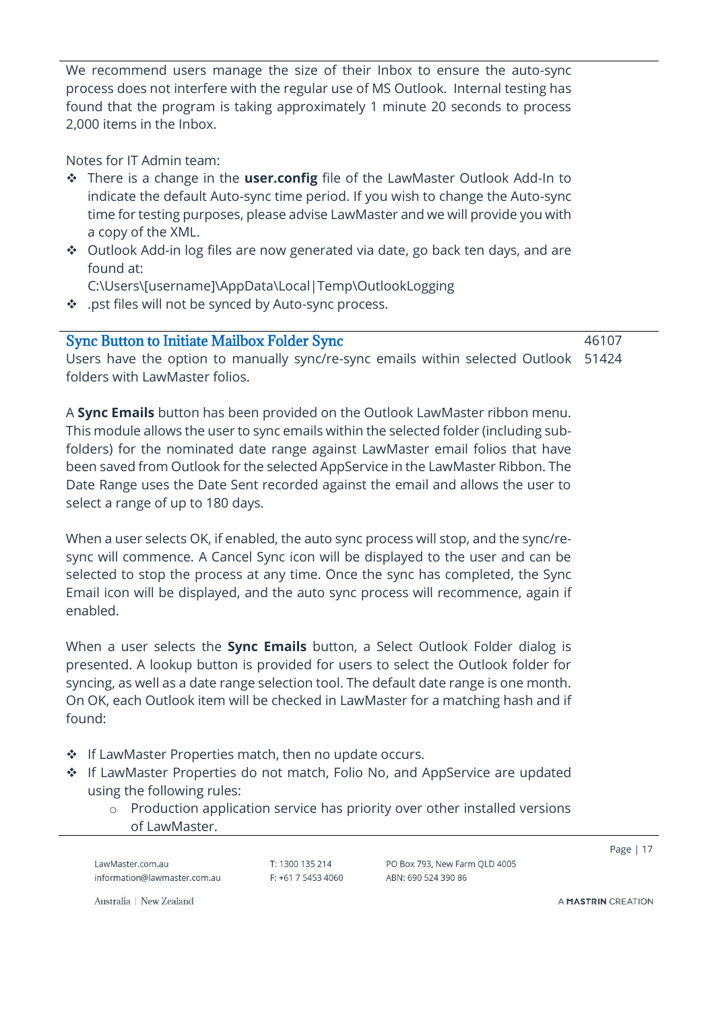We recommend users manage the size of their Inbox to ensure the auto-sync process does not interfere with the regular use of MS Outlook. Internal testing has found that the program is taking approximately 1 minute 20 seconds to process 2,000 items in the Inbox.

Notes for IT Admin team:

- ❖ There is a change in the **user.config** file of the LawMaster Outlook Add-In to indicate the default Auto-sync time period. If you wish to change the Auto-sync time for testing purposes, please advise LawMaster and we will provide you with a copy of the XML.
- ❖ Outlook Add-in log files are now generated via date, go back ten days, and are found at:
	- C:\Users\[username]\AppData\Local|Temp\OutlookLogging
- ❖ .pst files will not be synced by Auto-sync process.

<span id="page-16-0"></span>Sync Button to Initiate Mailbox Folder Sync

46107

Users have the option to manually sync/re-sync emails within selected Outlook 51424folders with LawMaster folios.

A **Sync Emails** button has been provided on the Outlook LawMaster ribbon menu. This module allows the user to sync emails within the selected folder (including subfolders) for the nominated date range against LawMaster email folios that have been saved from Outlook for the selected AppService in the LawMaster Ribbon. The Date Range uses the Date Sent recorded against the email and allows the user to select a range of up to 180 days.

When a user selects OK, if enabled, the auto sync process will stop, and the sync/resync will commence. A Cancel Sync icon will be displayed to the user and can be selected to stop the process at any time. Once the sync has completed, the Sync Email icon will be displayed, and the auto sync process will recommence, again if enabled.

When a user selects the **Sync Emails** button, a Select Outlook Folder dialog is presented. A lookup button is provided for users to select the Outlook folder for syncing, as well as a date range selection tool. The default date range is one month. On OK, each Outlook item will be checked in LawMaster for a matching hash and if found:

- ❖ If LawMaster Properties match, then no update occurs.
- ❖ If LawMaster Properties do not match, Folio No, and AppService are updated using the following rules:
	- o Production application service has priority over other installed versions of LawMaster.

LawMaster.com.au information@lawmaster.com.au T: 1300 135 214  $F: +61$  7 5453 4060 PO Box 793, New Farm OLD 4005 ARN: 690 524 390 86

Page | 17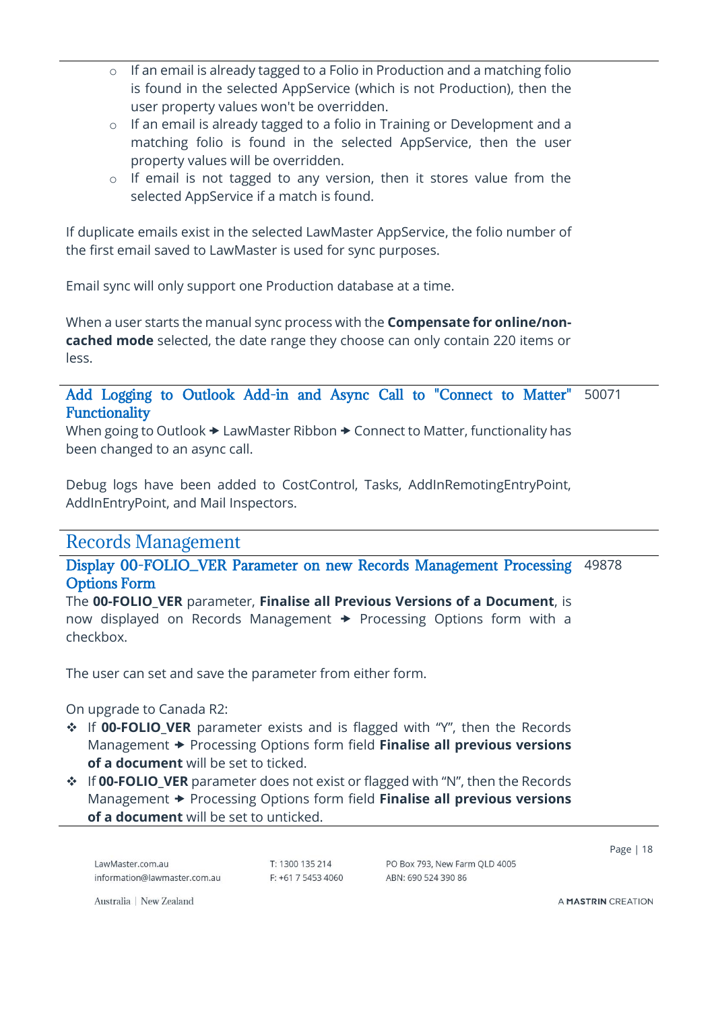- o If an email is already tagged to a Folio in Production and a matching folio is found in the selected AppService (which is not Production), then the user property values won't be overridden.
- o If an email is already tagged to a folio in Training or Development and a matching folio is found in the selected AppService, then the user property values will be overridden.
- o If email is not tagged to any version, then it stores value from the selected AppService if a match is found.

If duplicate emails exist in the selected LawMaster AppService, the folio number of the first email saved to LawMaster is used for sync purposes.

Email sync will only support one Production database at a time.

When a user starts the manual sync process with the **Compensate for online/noncached mode** selected, the date range they choose can only contain 220 items or less.

#### <span id="page-17-0"></span>Add Logging to Outlook Add-in and Async Call to "Connect to Matter" Functionality 50071

When going to Outlook  $\rightarrow$  LawMaster Ribbon  $\rightarrow$  Connect to Matter, functionality has been changed to an async call.

Debug logs have been added to CostControl, Tasks, AddInRemotingEntryPoint, AddInEntryPoint, and Mail Inspectors.

### <span id="page-17-1"></span>Records Management

<span id="page-17-2"></span>Display 00-FOLIO\_VER Parameter on new Records Management Processing Options Form 49878

The **00-FOLIO\_VER** parameter, **Finalise all Previous Versions of a Document**, is now displayed on Records Management  $\rightarrow$  Processing Options form with a checkbox.

The user can set and save the parameter from either form.

On upgrade to Canada R2:

- ❖ If **00-FOLIO\_VER** parameter exists and is flagged with "Y", then the Records Management  $\rightarrow$  Processing Options form field **Finalise all previous versions of a document** will be set to ticked.
- ❖ If **00-FOLIO\_VER** parameter does not exist or flagged with "N", then the Records Management  $\rightarrow$  Processing Options form field **Finalise all previous versions of a document** will be set to unticked.

LawMaster.com.au information@lawmaster.com.au T: 1300 135 214  $F: +61754534060$  PO Box 793, New Farm OLD 4005 ABN: 690 524 390 86

Page | 18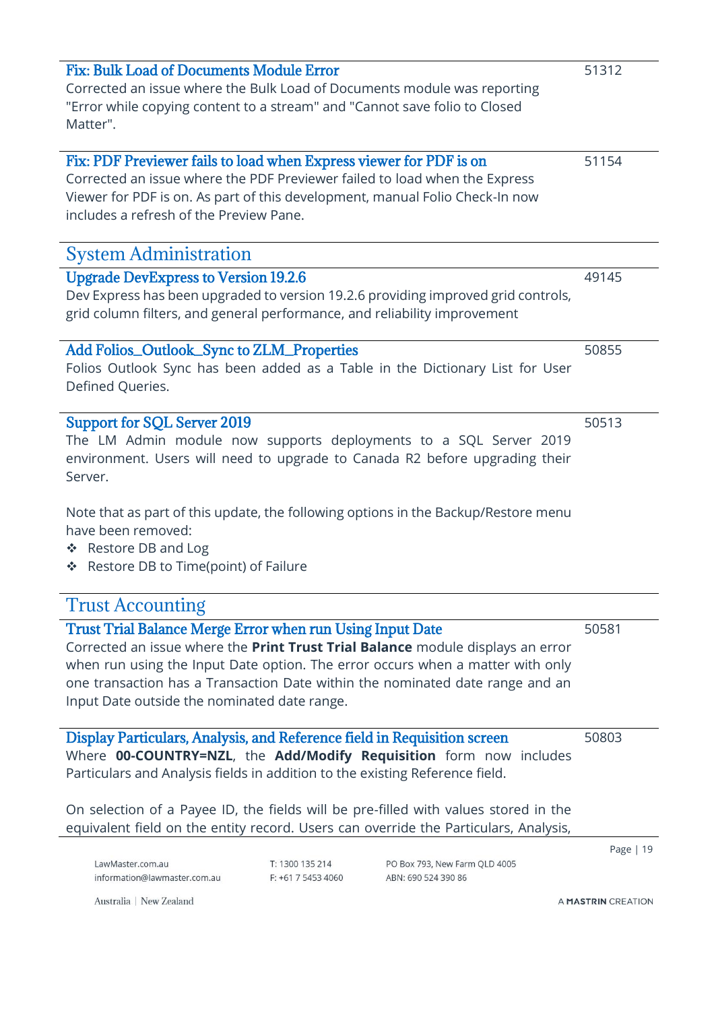<span id="page-18-8"></span><span id="page-18-7"></span><span id="page-18-6"></span><span id="page-18-5"></span><span id="page-18-4"></span><span id="page-18-3"></span><span id="page-18-2"></span><span id="page-18-1"></span><span id="page-18-0"></span>

| Fix: Bulk Load of Documents Module Error<br>Corrected an issue where the Bulk Load of Documents module was reporting<br>"Error while copying content to a stream" and "Cannot save folio to Closed<br>Matter".                                                                                                                                                                                                |                                       |                                                      | 51312              |
|---------------------------------------------------------------------------------------------------------------------------------------------------------------------------------------------------------------------------------------------------------------------------------------------------------------------------------------------------------------------------------------------------------------|---------------------------------------|------------------------------------------------------|--------------------|
| Fix: PDF Previewer fails to load when Express viewer for PDF is on<br>Corrected an issue where the PDF Previewer failed to load when the Express<br>Viewer for PDF is on. As part of this development, manual Folio Check-In now<br>includes a refresh of the Preview Pane.                                                                                                                                   |                                       |                                                      | 51154              |
| <b>System Administration</b>                                                                                                                                                                                                                                                                                                                                                                                  |                                       |                                                      |                    |
| <b>Upgrade DevExpress to Version 19.2.6</b><br>Dev Express has been upgraded to version 19.2.6 providing improved grid controls,<br>grid column filters, and general performance, and reliability improvement                                                                                                                                                                                                 |                                       |                                                      | 49145              |
| <b>Add Folios_Outlook_Sync to ZLM_Properties</b><br>Folios Outlook Sync has been added as a Table in the Dictionary List for User<br>Defined Queries.                                                                                                                                                                                                                                                         |                                       |                                                      | 50855              |
| <b>Support for SQL Server 2019</b><br>The LM Admin module now supports deployments to a SQL Server 2019<br>environment. Users will need to upgrade to Canada R2 before upgrading their<br>Server.<br>Note that as part of this update, the following options in the Backup/Restore menu<br>have been removed:<br>Restore DB and Log<br>豪<br>Restore DB to Time(point) of Failure<br>豪                         |                                       |                                                      | 50513              |
| <b>Trust Accounting</b>                                                                                                                                                                                                                                                                                                                                                                                       |                                       |                                                      |                    |
| <b>Trust Trial Balance Merge Error when run Using Input Date</b><br>Corrected an issue where the Print Trust Trial Balance module displays an error<br>when run using the Input Date option. The error occurs when a matter with only<br>one transaction has a Transaction Date within the nominated date range and an<br>Input Date outside the nominated date range.                                        |                                       |                                                      | 50581              |
| Display Particulars, Analysis, and Reference field in Requisition screen<br>Where 00-COUNTRY=NZL, the Add/Modify Requisition form now includes<br>Particulars and Analysis fields in addition to the existing Reference field.<br>On selection of a Payee ID, the fields will be pre-filled with values stored in the<br>equivalent field on the entity record. Users can override the Particulars, Analysis, |                                       |                                                      | 50803              |
| LawMaster.com.au<br>information@lawmaster.com.au                                                                                                                                                                                                                                                                                                                                                              | T: 1300 135 214<br>F: +61 7 5453 4060 | PO Box 793, New Farm QLD 4005<br>ABN: 690 524 390 86 | Page   19          |
| Australia   New Zealand                                                                                                                                                                                                                                                                                                                                                                                       |                                       |                                                      | A MASTRIN CREATION |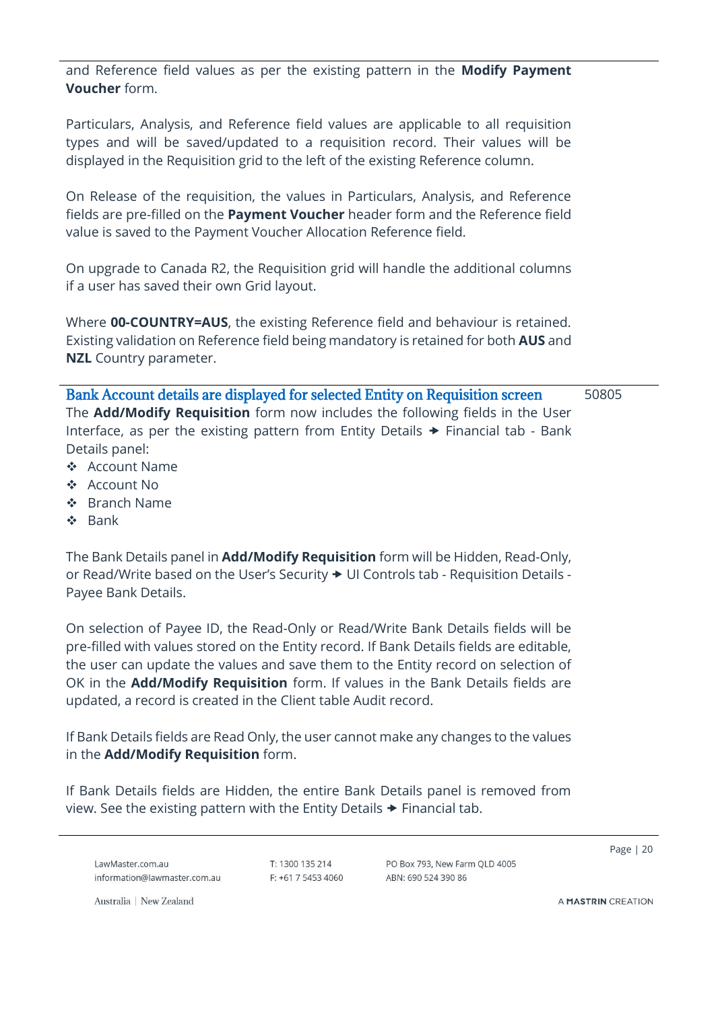and Reference field values as per the existing pattern in the **Modify Payment Voucher** form.

Particulars, Analysis, and Reference field values are applicable to all requisition types and will be saved/updated to a requisition record. Their values will be displayed in the Requisition grid to the left of the existing Reference column.

On Release of the requisition, the values in Particulars, Analysis, and Reference fields are pre-filled on the **Payment Voucher** header form and the Reference field value is saved to the Payment Voucher Allocation Reference field.

On upgrade to Canada R2, the Requisition grid will handle the additional columns if a user has saved their own Grid layout.

Where **00-COUNTRY=AUS**, the existing Reference field and behaviour is retained. Existing validation on Reference field being mandatory is retained for both **AUS** and **NZL** Country parameter.

<span id="page-19-0"></span>Bank Account details are displayed for selected Entity on Requisition screen The **Add/Modify Requisition** form now includes the following fields in the User Interface, as per the existing pattern from Entity Details  $\rightarrow$  Financial tab - Bank Details panel: 50805

- ❖ Account Name
- ❖ Account No
- ❖ Branch Name
- ❖ Bank

The Bank Details panel in **Add/Modify Requisition** form will be Hidden, Read-Only, or Read/Write based on the User's Security  $\blacktriangleright$  UI Controls tab - Requisition Details -Payee Bank Details.

On selection of Payee ID, the Read-Only or Read/Write Bank Details fields will be pre-filled with values stored on the Entity record. If Bank Details fields are editable, the user can update the values and save them to the Entity record on selection of OK in the **Add/Modify Requisition** form. If values in the Bank Details fields are updated, a record is created in the Client table Audit record.

If Bank Details fields are Read Only, the user cannot make any changes to the values in the **Add/Modify Requisition** form.

If Bank Details fields are Hidden, the entire Bank Details panel is removed from view. See the existing pattern with the Entity Details  $\rightarrow$  Financial tab.

LawMaster.com.au information@lawmaster.com.au T: 1300 135 214  $F: +61754534060$  PO Box 793, New Farm OLD 4005 ARN: 690 524 390 86

Page | 20

Australia | New Zealand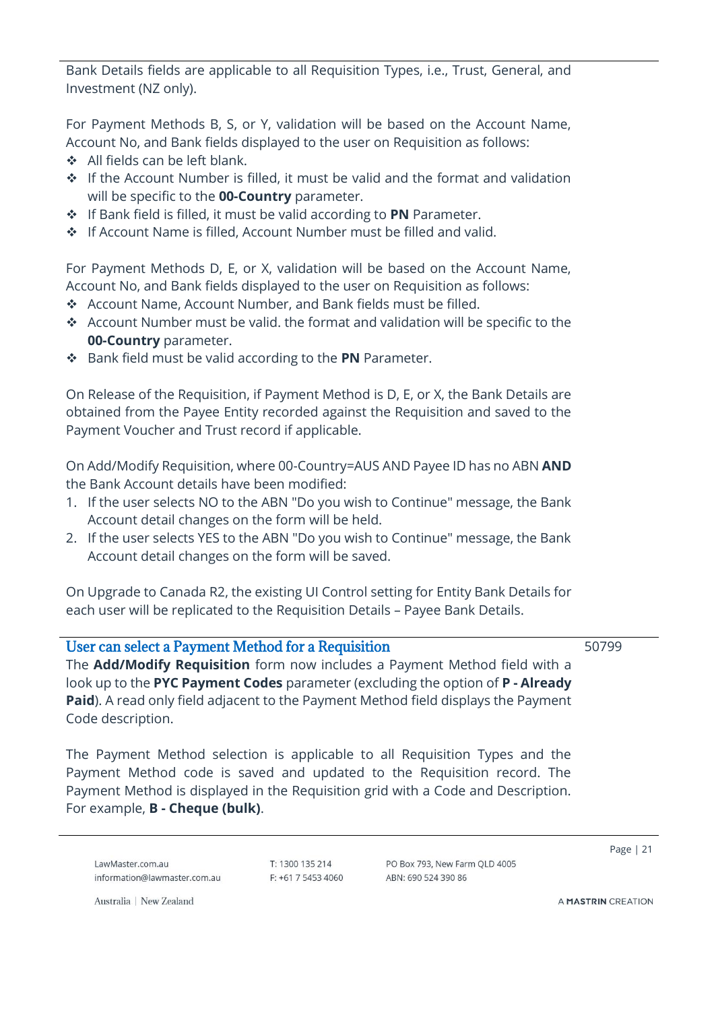Bank Details fields are applicable to all Requisition Types, i.e., Trust, General, and Investment (NZ only).

For Payment Methods B, S, or Y, validation will be based on the Account Name, Account No, and Bank fields displayed to the user on Requisition as follows:

- ❖ All fields can be left blank.
- ❖ If the Account Number is filled, it must be valid and the format and validation will be specific to the **00-Country** parameter.
- ❖ If Bank field is filled, it must be valid according to **PN** Parameter.
- ❖ If Account Name is filled, Account Number must be filled and valid.

For Payment Methods D, E, or X, validation will be based on the Account Name, Account No, and Bank fields displayed to the user on Requisition as follows:

- ❖ Account Name, Account Number, and Bank fields must be filled.
- ❖ Account Number must be valid. the format and validation will be specific to the **00-Country** parameter.
- ❖ Bank field must be valid according to the **PN** Parameter.

On Release of the Requisition, if Payment Method is D, E, or X, the Bank Details are obtained from the Payee Entity recorded against the Requisition and saved to the Payment Voucher and Trust record if applicable.

On Add/Modify Requisition, where 00-Country=AUS AND Payee ID has no ABN **AND** the Bank Account details have been modified:

- 1. If the user selects NO to the ABN "Do you wish to Continue" message, the Bank Account detail changes on the form will be held.
- 2. If the user selects YES to the ABN "Do you wish to Continue" message, the Bank Account detail changes on the form will be saved.

On Upgrade to Canada R2, the existing UI Control setting for Entity Bank Details for each user will be replicated to the Requisition Details – Payee Bank Details.

### <span id="page-20-0"></span>User can select a Payment Method for a Requisition

50799

The **Add/Modify Requisition** form now includes a Payment Method field with a look up to the **PYC Payment Codes** parameter (excluding the option of **P - Already Paid**). A read only field adjacent to the Payment Method field displays the Payment Code description.

The Payment Method selection is applicable to all Requisition Types and the Payment Method code is saved and updated to the Requisition record. The Payment Method is displayed in the Requisition grid with a Code and Description. For example, **B - Cheque (bulk)**.

LawMaster.com.au information@lawmaster.com.au T: 1300 135 214  $F: +61754534060$  PO Box 793 New Farm OLD 4005 ARN: 690 524 390 86

Page | 21

Australia | New Zealand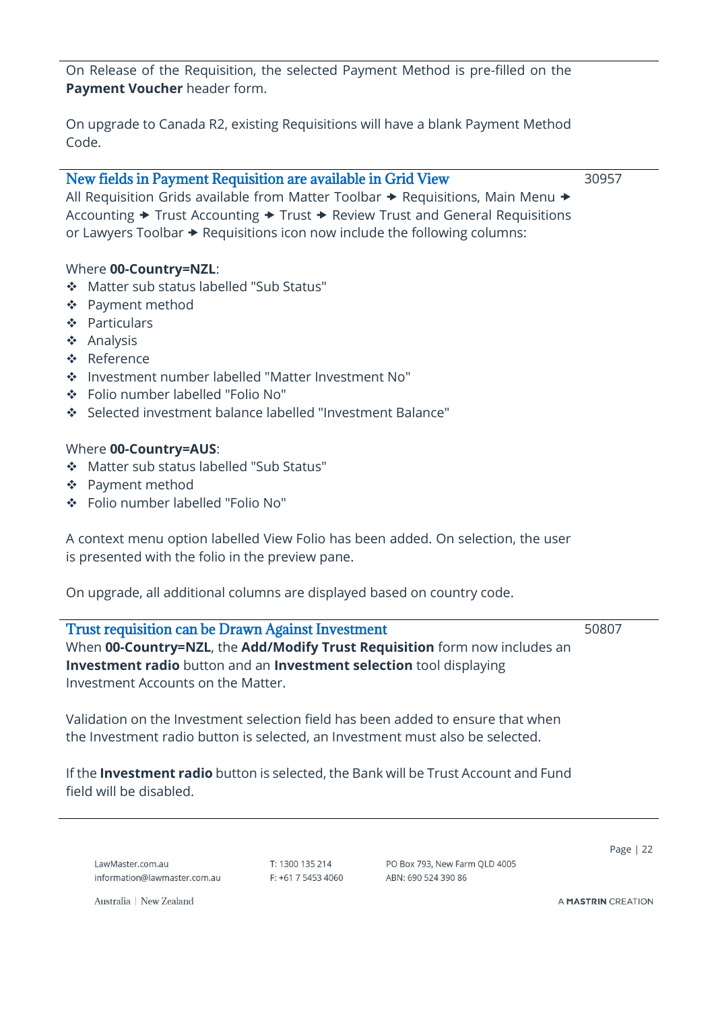On Release of the Requisition, the selected Payment Method is pre-filled on the **Payment Voucher** header form.

On upgrade to Canada R2, existing Requisitions will have a blank Payment Method Code.

#### New fields in Payment Requisition are available in Grid View

30957

All Requisition Grids available from Matter Toolbar  $\rightarrow$  Requisitions, Main Menu  $\rightarrow$ Accounting  $\rightarrow$  Trust Accounting  $\rightarrow$  Trust  $\rightarrow$  Review Trust and General Requisitions or Lawyers Toolbar  $\rightarrow$  Requisitions icon now include the following columns:

#### Where **00-Country=NZL**:

- ❖ Matter sub status labelled "Sub Status"
- ❖ Payment method
- ❖ Particulars
- ❖ Analysis
- ❖ Reference
- ❖ Investment number labelled "Matter Investment No"
- ❖ Folio number labelled "Folio No"
- ❖ Selected investment balance labelled "Investment Balance"

#### Where **00-Country=AUS**:

- ❖ Matter sub status labelled "Sub Status"
- ❖ Payment method
- ❖ Folio number labelled "Folio No"

A context menu option labelled View Folio has been added. On selection, the user is presented with the folio in the preview pane.

On upgrade, all additional columns are displayed based on country code.

<span id="page-21-0"></span>Trust requisition can be Drawn Against Investment When **00-Country=NZL**, the **Add/Modify Trust Requisition** form now includes an **Investment radio** button and an **Investment selection** tool displaying Investment Accounts on the Matter. 50807

Validation on the Investment selection field has been added to ensure that when the Investment radio button is selected, an Investment must also be selected.

If the **Investment radio** button is selected, the Bank will be Trust Account and Fund field will be disabled.

LawMaster.com.au information@lawmaster.com.au T: 1300 135 214 F: +61 7 5453 4060 PO Box 793, New Farm OLD 4005 ABN: 690 524 390 86

Page | 22

Australia | New Zealand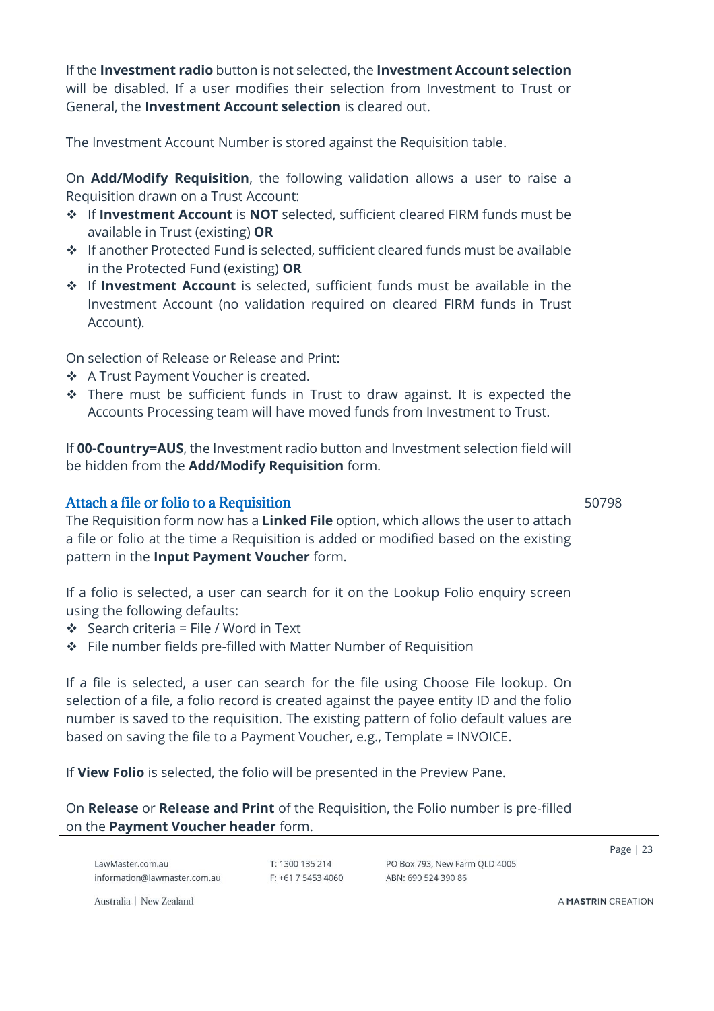If the **Investment radio** button is not selected, the **Investment Account selection** will be disabled. If a user modifies their selection from Investment to Trust or General, the **Investment Account selection** is cleared out.

The Investment Account Number is stored against the Requisition table.

On **Add/Modify Requisition**, the following validation allows a user to raise a Requisition drawn on a Trust Account:

- ❖ If **Investment Account** is **NOT** selected, sufficient cleared FIRM funds must be available in Trust (existing) **OR**
- ❖ If another Protected Fund is selected, sufficient cleared funds must be available in the Protected Fund (existing) **OR**
- ❖ If **Investment Account** is selected, sufficient funds must be available in the Investment Account (no validation required on cleared FIRM funds in Trust Account).

On selection of Release or Release and Print:

- ❖ A Trust Payment Voucher is created.
- ❖ There must be sufficient funds in Trust to draw against. It is expected the Accounts Processing team will have moved funds from Investment to Trust.

If **00-Country=AUS**, the Investment radio button and Investment selection field will be hidden from the **Add/Modify Requisition** form.

<span id="page-22-0"></span>Attach a file or folio to a Requisition

50798

The Requisition form now has a **Linked File** option, which allows the user to attach a file or folio at the time a Requisition is added or modified based on the existing pattern in the **Input Payment Voucher** form.

If a folio is selected, a user can search for it on the Lookup Folio enquiry screen using the following defaults:

- ❖ Search criteria = File / Word in Text
- ❖ File number fields pre-filled with Matter Number of Requisition

If a file is selected, a user can search for the file using Choose File lookup. On selection of a file, a folio record is created against the payee entity ID and the folio number is saved to the requisition. The existing pattern of folio default values are based on saving the file to a Payment Voucher, e.g., Template = INVOICE.

If **View Folio** is selected, the folio will be presented in the Preview Pane.

On **Release** or **Release and Print** of the Requisition, the Folio number is pre-filled on the **Payment Voucher header** form.

LawMaster.com.au information@lawmaster.com.au T: 1300 135 214  $F: +61$  7 5453 4060 PO Box 793, New Farm OLD 4005 ARN: 690 524 390 86

Page | 23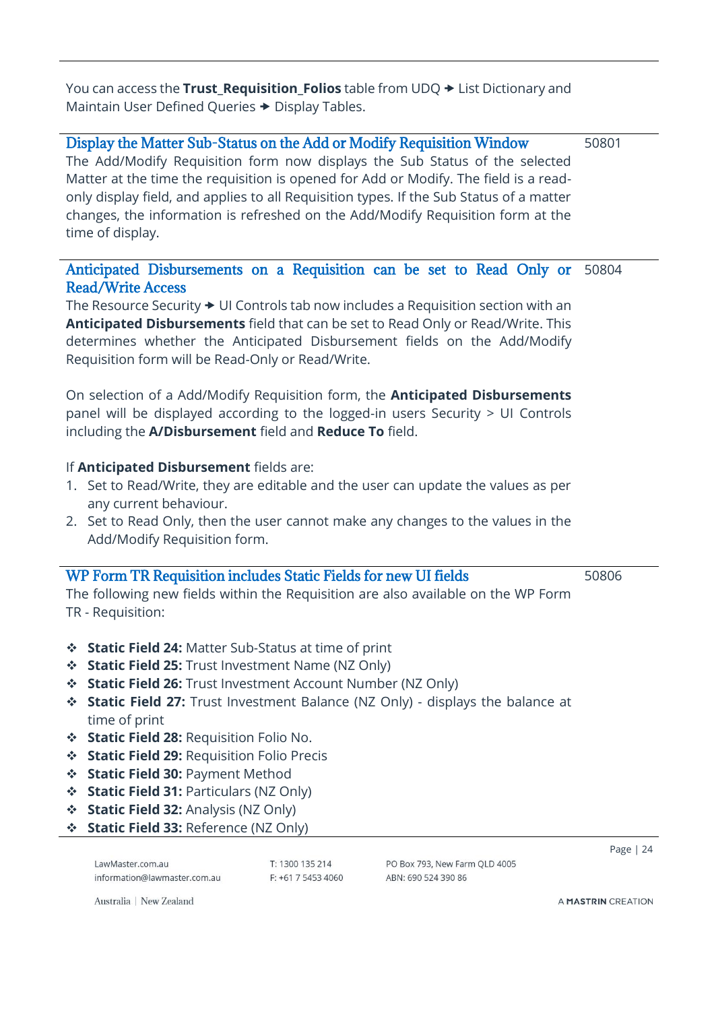You can access the **Trust\_Requisition\_Folios** table from UDQ  $\rightarrow$  List Dictionary and Maintain User Defined Queries  $\rightarrow$  Display Tables.

#### <span id="page-23-0"></span>Display the Matter Sub-Status on the Add or Modify Requisition Window The Add/Modify Requisition form now displays the Sub Status of the selected Matter at the time the requisition is opened for Add or Modify. The field is a readonly display field, and applies to all Requisition types. If the Sub Status of a matter changes, the information is refreshed on the Add/Modify Requisition form at the time of display. 50801

#### <span id="page-23-1"></span>Anticipated Disbursements on a Requisition can be set to Read Only or Read/Write Access 50804

The Resource Security  $\rightarrow$  UI Controls tab now includes a Requisition section with an **Anticipated Disbursements** field that can be set to Read Only or Read/Write. This determines whether the Anticipated Disbursement fields on the Add/Modify Requisition form will be Read-Only or Read/Write.

On selection of a Add/Modify Requisition form, the **Anticipated Disbursements** panel will be displayed according to the logged-in users Security > UI Controls including the **A/Disbursement** field and **Reduce To** field.

### If **Anticipated Disbursement** fields are:

- 1. Set to Read/Write, they are editable and the user can update the values as per any current behaviour.
- 2. Set to Read Only, then the user cannot make any changes to the values in the Add/Modify Requisition form.

### <span id="page-23-2"></span>WP Form TR Requisition includes Static Fields for new UI fields

50806

The following new fields within the Requisition are also available on the WP Form TR - Requisition:

- ❖ **Static Field 24:** Matter Sub-Status at time of print
- ❖ **Static Field 25:** Trust Investment Name (NZ Only)
- ❖ **Static Field 26:** Trust Investment Account Number (NZ Only)
- ❖ **Static Field 27:** Trust Investment Balance (NZ Only) displays the balance at time of print
- ❖ **Static Field 28:** Requisition Folio No.
- ❖ **Static Field 29:** Requisition Folio Precis
- ❖ **Static Field 30:** Payment Method
- ❖ **Static Field 31:** Particulars (NZ Only)
- ❖ **Static Field 32:** Analysis (NZ Only)
- ❖ **Static Field 33:** Reference (NZ Only)

LawMaster.com.au information@lawmaster.com.au T: 1300 135 214  $F: +61$  7 5453 4060 PO Box 793 New Farm OLD 4005 ARN: 690 524 390 86

Page | 24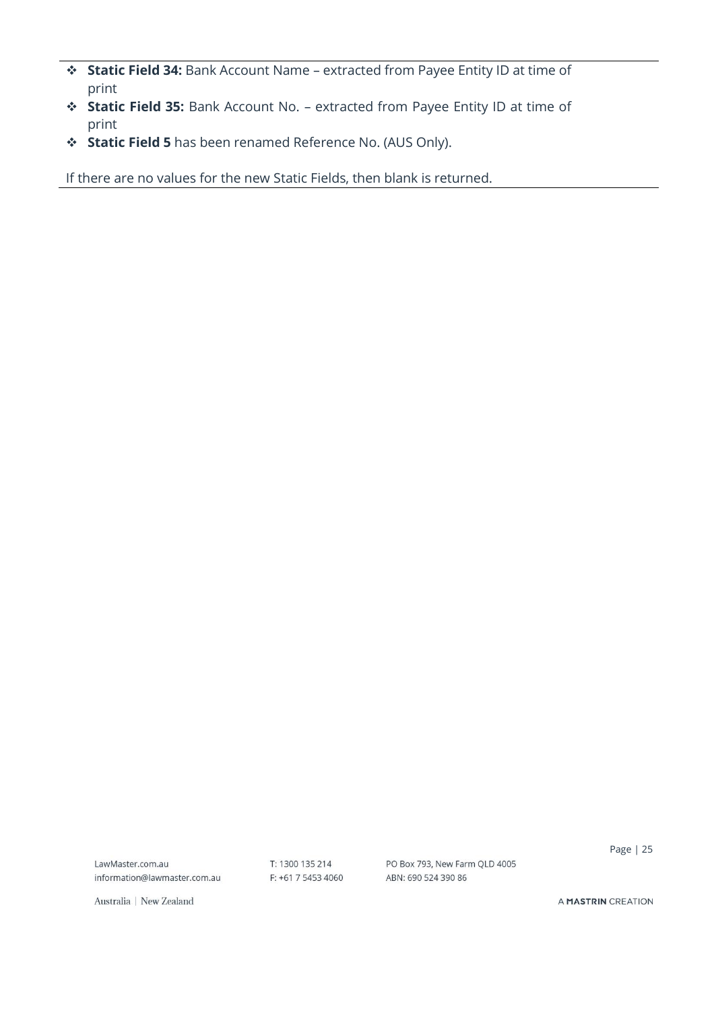- ❖ **Static Field 34:** Bank Account Name extracted from Payee Entity ID at time of print
- ❖ **Static Field 35:** Bank Account No. extracted from Payee Entity ID at time of print
- ❖ **Static Field 5** has been renamed Reference No. (AUS Only).

If there are no values for the new Static Fields, then blank is returned.

LawMaster.com.au information@lawmaster.com.au T: 1300 135 214 F: +61 7 5453 4060 PO Box 793, New Farm QLD 4005 ABN: 690 524 390 86

Page | 25

Australia | New Zealand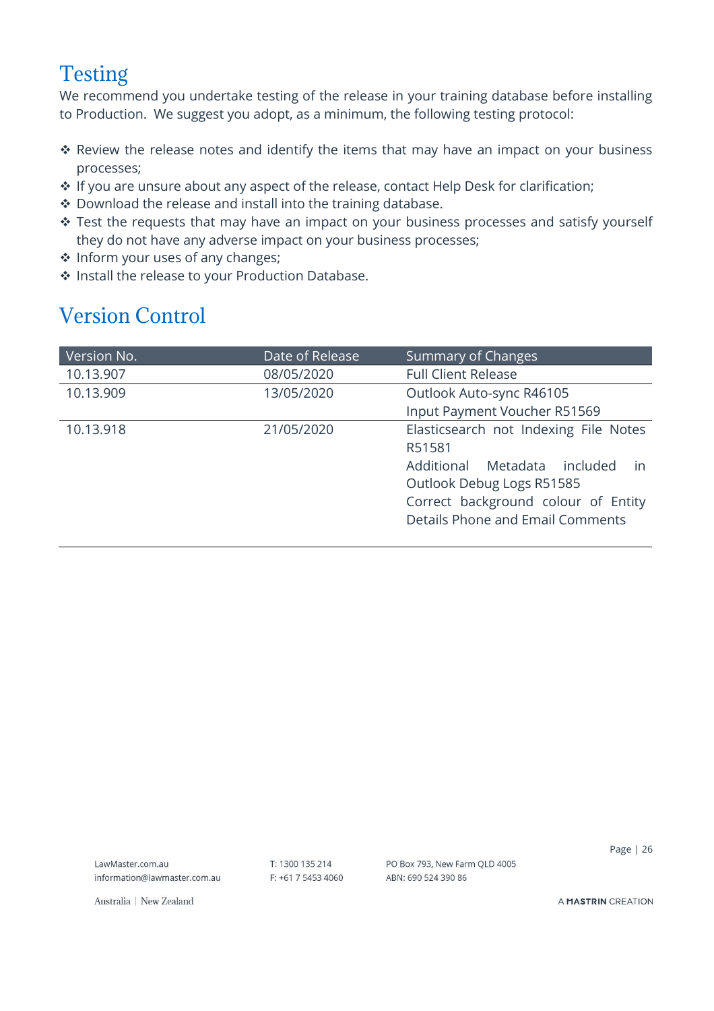# <span id="page-25-0"></span>Testing

We recommend you undertake testing of the release in your training database before installing to Production. We suggest you adopt, as a minimum, the following testing protocol:

- ❖ Review the release notes and identify the items that may have an impact on your business processes;
- ❖ If you are unsure about any aspect of the release, contact Help Desk for clarification;
- ❖ Download the release and install into the training database.
- ❖ Test the requests that may have an impact on your business processes and satisfy yourself they do not have any adverse impact on your business processes;
- ❖ Inform your uses of any changes;
- ❖ Install the release to your Production Database.

# <span id="page-25-1"></span>Version Control

| Version No. | Date of Release | Summary of Changes                                                                                                                                                                               |  |
|-------------|-----------------|--------------------------------------------------------------------------------------------------------------------------------------------------------------------------------------------------|--|
| 10.13.907   | 08/05/2020      | <b>Full Client Release</b>                                                                                                                                                                       |  |
| 10.13.909   | 13/05/2020      | Outlook Auto-sync R46105                                                                                                                                                                         |  |
|             |                 | Input Payment Voucher R51569                                                                                                                                                                     |  |
| 10.13.918   | 21/05/2020      | Elasticsearch not Indexing File Notes<br>R51581<br>Metadata included<br>Additional<br>in<br>Outlook Debug Logs R51585<br>Correct background colour of Entity<br>Details Phone and Email Comments |  |

LawMaster.com.au information@lawmaster.com.au T: 1300 135 214 F: +61 7 5453 4060 PO Box 793, New Farm OLD 4005 ABN: 690 524 390 86

Page | 26

Australia | New Zealand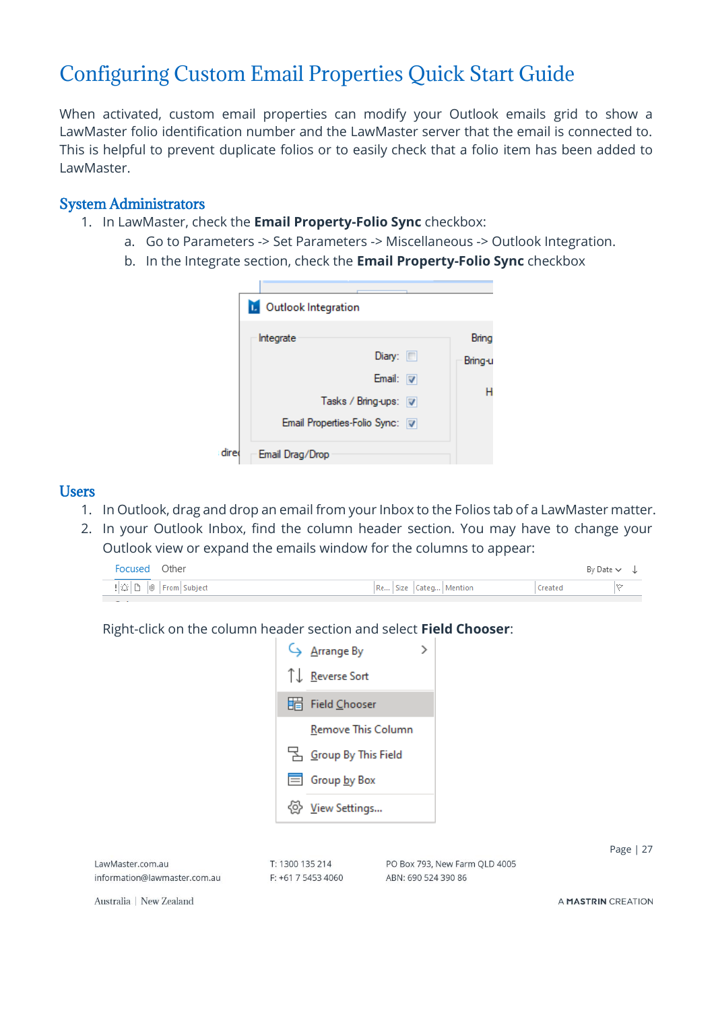# <span id="page-26-0"></span>Configuring Custom Email Properties Quick Start Guide

When activated, custom email properties can modify your Outlook emails grid to show a LawMaster folio identification number and the LawMaster server that the email is connected to. This is helpful to prevent duplicate folios or to easily check that a folio item has been added to LawMaster.

#### <span id="page-26-1"></span>System Administrators

- 1. In LawMaster, check the **Email Property-Folio Sync** checkbox:
	- a. Go to Parameters -> Set Parameters -> Miscellaneous -> Outlook Integration.
	- b. In the Integrate section, check the **Email Property-Folio Sync** checkbox

|      | <b>D.</b> Outlook Integration  |         |
|------|--------------------------------|---------|
|      | Integrate                      | Bring   |
|      | Diary: $\Box$                  | Bring-u |
|      | Email: $ \nabla $              |         |
|      | Tasks / Bring-ups: 7           |         |
|      | Email Properties-Folio Sync: V |         |
| dire | Email Drag/Drop                |         |

#### <span id="page-26-2"></span>Users

- 1. In Outlook, drag and drop an email from your Inbox to the Folios tab of a LawMaster matter.
- 2. In your Outlook Inbox, find the column header section. You may have to change your Outlook view or expand the emails window for the columns to appear:



Right-click on the column header section and select **Field Chooser**:



|                              |                      |                               | Page $ 27$         |
|------------------------------|----------------------|-------------------------------|--------------------|
| LawMaster.com.au             | T: 1300 135 214      | PO Box 793, New Farm QLD 4005 |                    |
| information@lawmaster.com.au | $F: +61$ 7 5453 4060 | ABN: 690 524 390 86           |                    |
| Australia   New Zealand      |                      |                               | A MASTRIN CREATION |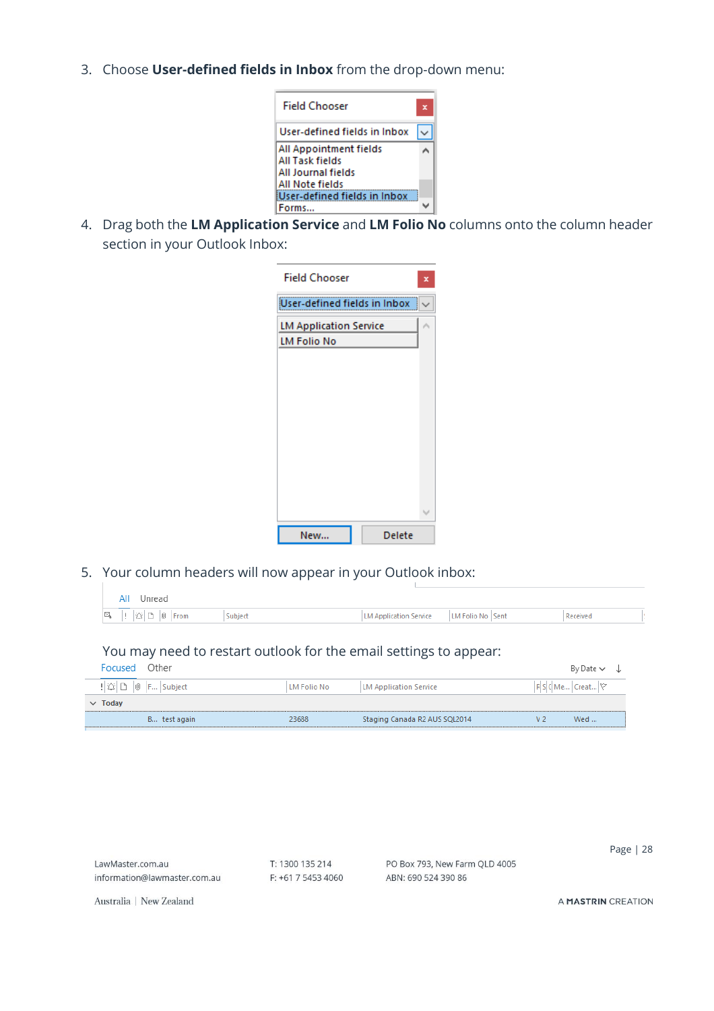3. Choose **User-defined fields in Inbox** from the drop-down menu:



4. Drag both the **LM Application Service** and **LM Folio No** columns onto the column header section in your Outlook Inbox:

| <b>Field Chooser</b>          |               |   |
|-------------------------------|---------------|---|
| User-defined fields in Inbox  |               |   |
| <b>LM Application Service</b> |               |   |
| <b>LM Folio No</b>            |               |   |
|                               |               |   |
|                               |               |   |
|                               |               |   |
|                               |               |   |
|                               |               |   |
|                               |               |   |
|                               |               | v |
| New                           | <b>Delete</b> |   |
|                               |               |   |

5. Your column headers will now appear in your Outlook inbox:

| All | Unread                                                                                                           |         |                        |                  |          |
|-----|------------------------------------------------------------------------------------------------------------------|---------|------------------------|------------------|----------|
|     | $\mathbb{E}$ , $\mathbb{E}$ , $\mathbb{E}$ $\mathbb{E}$ $\mathbb{E}$ $\mathbb{E}$ $\mathbb{E}$ $\mathbb{E}$ From | Subject | LM Application Service | LM Folio No Sent | Received |

### You may need to restart outlook for the email settings to appear:

| Focused                                                 | Other |              |             |                               |                          | By Date $\sim$ |  |
|---------------------------------------------------------|-------|--------------|-------------|-------------------------------|--------------------------|----------------|--|
| $  \mathfrak{D}  \mathbb{D}  $ $  \mathbf{F}  $ Subject |       |              | LM Folio No | LM Application Service        | $ F S C Me Creat \nabla$ |                |  |
| $\vee$ Today                                            |       |              |             |                               |                          |                |  |
|                                                         |       | B test again | 23688       | Staging Canada R2 AUS SQL2014 |                          | Wed            |  |

|                              |                      |                               | 28<br>Page         |
|------------------------------|----------------------|-------------------------------|--------------------|
| LawMaster.com.au             | T: 1300 135 214      | PO Box 793, New Farm QLD 4005 |                    |
| information@lawmaster.com.au | $F: +61$ 7 5453 4060 | ABN: 690 524 390 86           |                    |
| Australia   New Zealand      |                      |                               | A MASTRIN CREATION |